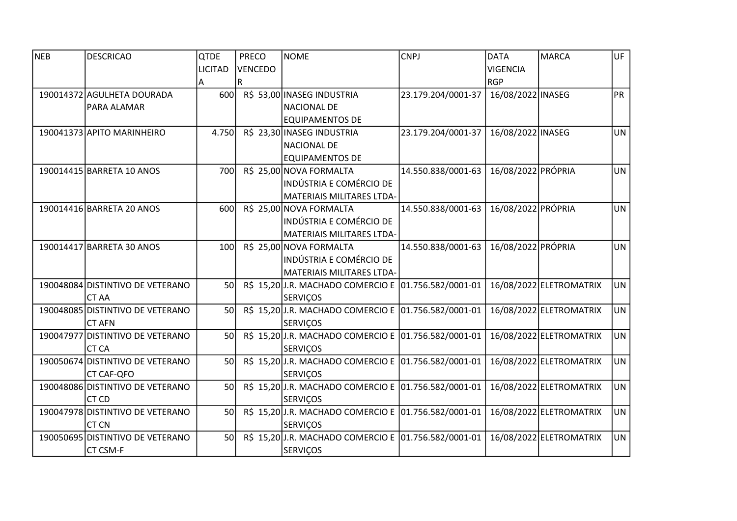| <b>NEB</b> | <b>DESCRICAO</b>                 | <b>QTDE</b>    | <b>PRECO</b> |                | <b>NOME</b>                                          | <b>CNPJ</b>        | <b>DATA</b>        | MARCA                   | UF        |
|------------|----------------------------------|----------------|--------------|----------------|------------------------------------------------------|--------------------|--------------------|-------------------------|-----------|
|            |                                  | <b>LICITAD</b> |              | <b>VENCEDO</b> |                                                      |                    | <b>VIGENCIA</b>    |                         |           |
|            |                                  | A              | R            |                |                                                      |                    | <b>RGP</b>         |                         |           |
|            | 190014372 AGULHETA DOURADA       | 600            |              |                | R\$ 53,00 INASEG INDUSTRIA                           | 23.179.204/0001-37 | 16/08/2022 INASEG  |                         | PR        |
|            | PARA ALAMAR                      |                |              |                | <b>NACIONAL DE</b>                                   |                    |                    |                         |           |
|            |                                  |                |              |                | <b>EQUIPAMENTOS DE</b>                               |                    |                    |                         |           |
|            | 190041373 APITO MARINHEIRO       | 4.750          |              |                | R\$ 23,30 INASEG INDUSTRIA                           | 23.179.204/0001-37 | 16/08/2022 INASEG  |                         | <b>UN</b> |
|            |                                  |                |              |                | <b>NACIONAL DE</b>                                   |                    |                    |                         |           |
|            |                                  |                |              |                | <b>EQUIPAMENTOS DE</b>                               |                    |                    |                         |           |
|            | 190014415 BARRETA 10 ANOS        | 700            |              |                | R\$ 25,00 NOVA FORMALTA                              | 14.550.838/0001-63 | 16/08/2022 PRÓPRIA |                         | <b>UN</b> |
|            |                                  |                |              |                | <b>INDÚSTRIA E COMÉRCIO DE</b>                       |                    |                    |                         |           |
|            |                                  |                |              |                | MATERIAIS MILITARES LTDA-                            |                    |                    |                         |           |
|            | 190014416 BARRETA 20 ANOS        | 600            |              |                | R\$ 25,00 NOVA FORMALTA                              | 14.550.838/0001-63 | 16/08/2022 PRÓPRIA |                         | <b>UN</b> |
|            |                                  |                |              |                | <b>INDÚSTRIA E COMÉRCIO DE</b>                       |                    |                    |                         |           |
|            |                                  |                |              |                | MATERIAIS MILITARES LTDA-                            |                    |                    |                         |           |
|            | 190014417 BARRETA 30 ANOS        | 100            |              |                | R\$ 25,00 NOVA FORMALTA                              | 14.550.838/0001-63 | 16/08/2022 PRÓPRIA |                         | <b>UN</b> |
|            |                                  |                |              |                | <b>INDÚSTRIA E COMÉRCIO DE</b>                       |                    |                    |                         |           |
|            |                                  |                |              |                | MATERIAIS MILITARES LTDA-                            |                    |                    |                         |           |
|            | 190048084 DISTINTIVO DE VETERANO | 50             |              |                | R\$ 15,20J.R. MACHADO COMERCIO E 01.756.582/0001-01  |                    |                    | 16/08/2022 ELETROMATRIX | <b>UN</b> |
|            | <b>CT AA</b>                     |                |              |                | <b>SERVIÇOS</b>                                      |                    |                    |                         |           |
|            | 190048085 DISTINTIVO DE VETERANO | 50             |              |                | R\$ 15,20 J.R. MACHADO COMERCIO E 01.756.582/0001-01 |                    |                    | 16/08/2022 ELETROMATRIX | <b>UN</b> |
|            | <b>CT AFN</b>                    |                |              |                | <b>SERVIÇOS</b>                                      |                    |                    |                         |           |
|            | 190047977 DISTINTIVO DE VETERANO | 50             |              |                | R\$ 15,20 J.R. MACHADO COMERCIO E 01.756.582/0001-01 |                    |                    | 16/08/2022 ELETROMATRIX | <b>UN</b> |
|            | <b>CT CA</b>                     |                |              |                | <b>SERVIÇOS</b>                                      |                    |                    |                         |           |
|            | 190050674 DISTINTIVO DE VETERANO | 50             |              |                | R\$ 15,20J.R. MACHADO COMERCIO E 01.756.582/0001-01  |                    |                    | 16/08/2022 ELETROMATRIX | UN        |
|            | <b>CT CAF-QFO</b>                |                |              |                | <b>SERVIÇOS</b>                                      |                    |                    |                         |           |
|            | 190048086 DISTINTIVO DE VETERANO | 50             |              |                | R\$ 15,20 J.R. MACHADO COMERCIO E 01.756.582/0001-01 |                    |                    | 16/08/2022 ELETROMATRIX | UN        |
|            | CT CD                            |                |              |                | <b>SERVIÇOS</b>                                      |                    |                    |                         |           |
|            | 190047978 DISTINTIVO DE VETERANO | 50             |              |                | R\$ 15,20 J.R. MACHADO COMERCIO E 01.756.582/0001-01 |                    |                    | 16/08/2022 ELETROMATRIX | <b>UN</b> |
|            | <b>CT CN</b>                     |                |              |                | <b>SERVIÇOS</b>                                      |                    |                    |                         |           |
|            | 190050695 DISTINTIVO DE VETERANO | 50             |              |                | R\$ 15,20 J.R. MACHADO COMERCIO E 01.756.582/0001-01 |                    |                    | 16/08/2022 ELETROMATRIX | <b>UN</b> |
|            | CT CSM-F                         |                |              |                | <b>SERVIÇOS</b>                                      |                    |                    |                         |           |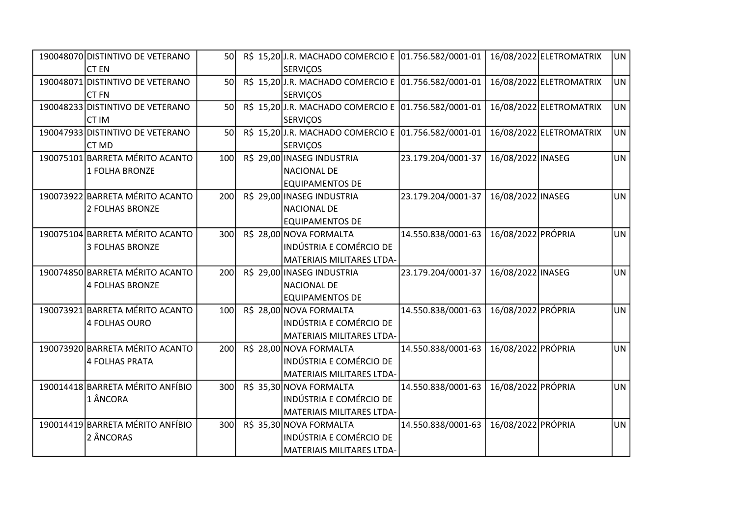| 190048070 DISTINTIVO DE VETERANO | 50               |  | R\$ 15,20 J.R. MACHADO COMERCIO E 01.756.582/0001-01 |                    |                    | 16/08/2022 ELETROMATRIX | UN        |
|----------------------------------|------------------|--|------------------------------------------------------|--------------------|--------------------|-------------------------|-----------|
| <b>CT EN</b>                     |                  |  | <b>SERVIÇOS</b>                                      |                    |                    |                         |           |
| 190048071 DISTINTIVO DE VETERANO | 50               |  | R\$ 15,20 J.R. MACHADO COMERCIO E 01.756.582/0001-01 |                    |                    | 16/08/2022 ELETROMATRIX | UN        |
| <b>CT FN</b>                     |                  |  | <b>SERVIÇOS</b>                                      |                    |                    |                         |           |
| 190048233 DISTINTIVO DE VETERANO | 50 <sup>1</sup>  |  | R\$ 15,20 J.R. MACHADO COMERCIO E 01.756.582/0001-01 |                    |                    | 16/08/2022 ELETROMATRIX | <b>UN</b> |
| CT IM                            |                  |  | <b>SERVIÇOS</b>                                      |                    |                    |                         |           |
| 190047933 DISTINTIVO DE VETERANO | 50               |  | R\$ 15,20 J.R. MACHADO COMERCIO E 01.756.582/0001-01 |                    |                    | 16/08/2022 ELETROMATRIX | <b>UN</b> |
| CT MD                            |                  |  | <b>SERVIÇOS</b>                                      |                    |                    |                         |           |
| 190075101 BARRETA MÉRITO ACANTO  | 100              |  | R\$ 29,00 INASEG INDUSTRIA                           | 23.179.204/0001-37 | 16/08/2022 INASEG  |                         | <b>UN</b> |
| 1 FOLHA BRONZE                   |                  |  | <b>NACIONAL DE</b>                                   |                    |                    |                         |           |
|                                  |                  |  | <b>EQUIPAMENTOS DE</b>                               |                    |                    |                         |           |
| 190073922 BARRETA MÉRITO ACANTO  | 200              |  | R\$ 29,00 INASEG INDUSTRIA                           | 23.179.204/0001-37 | 16/08/2022 INASEG  |                         | <b>UN</b> |
| 2 FOLHAS BRONZE                  |                  |  | NACIONAL DE                                          |                    |                    |                         |           |
|                                  |                  |  | <b>EQUIPAMENTOS DE</b>                               |                    |                    |                         |           |
| 190075104 BARRETA MÉRITO ACANTO  | 300              |  | R\$ 28,00 NOVA FORMALTA                              | 14.550.838/0001-63 | 16/08/2022 PRÓPRIA |                         | UN        |
| 3 FOLHAS BRONZE                  |                  |  | INDÚSTRIA E COMÉRCIO DE                              |                    |                    |                         |           |
|                                  |                  |  | MATERIAIS MILITARES LTDA-                            |                    |                    |                         |           |
| 190074850 BARRETA MÉRITO ACANTO  | 200              |  | R\$ 29,00 INASEG INDUSTRIA                           | 23.179.204/0001-37 | 16/08/2022 INASEG  |                         | <b>UN</b> |
| 4 FOLHAS BRONZE                  |                  |  | <b>NACIONAL DE</b>                                   |                    |                    |                         |           |
|                                  |                  |  | <b>EQUIPAMENTOS DE</b>                               |                    |                    |                         |           |
| 190073921 BARRETA MÉRITO ACANTO  | 100              |  | R\$ 28,00 NOVA FORMALTA                              | 14.550.838/0001-63 | 16/08/2022 PRÓPRIA |                         | <b>UN</b> |
| 4 FOLHAS OURO                    |                  |  | INDÚSTRIA E COMÉRCIO DE                              |                    |                    |                         |           |
|                                  |                  |  | MATERIAIS MILITARES LTDA-                            |                    |                    |                         |           |
| 190073920 BARRETA MÉRITO ACANTO  | 200              |  | R\$ 28,00 NOVA FORMALTA                              | 14.550.838/0001-63 | 16/08/2022 PRÓPRIA |                         | <b>UN</b> |
| 4 FOLHAS PRATA                   |                  |  | <b>INDÚSTRIA E COMÉRCIO DE</b>                       |                    |                    |                         |           |
|                                  |                  |  | MATERIAIS MILITARES LTDA-                            |                    |                    |                         |           |
| 190014418 BARRETA MÉRITO ANFÍBIO | 300 <sub>l</sub> |  | R\$ 35,30 NOVA FORMALTA                              | 14.550.838/0001-63 | 16/08/2022 PRÓPRIA |                         | UN        |
| 1 ÂNCORA                         |                  |  | INDÚSTRIA E COMÉRCIO DE                              |                    |                    |                         |           |
|                                  |                  |  | MATERIAIS MILITARES LTDA-                            |                    |                    |                         |           |
| 190014419 BARRETA MÉRITO ANFÍBIO | 300 <sub>l</sub> |  | R\$ 35,30 NOVA FORMALTA                              | 14.550.838/0001-63 | 16/08/2022 PRÓPRIA |                         | UN        |
| 2 ÂNCORAS                        |                  |  | INDÚSTRIA E COMÉRCIO DE                              |                    |                    |                         |           |
|                                  |                  |  | MATERIAIS MILITARES LTDA-                            |                    |                    |                         |           |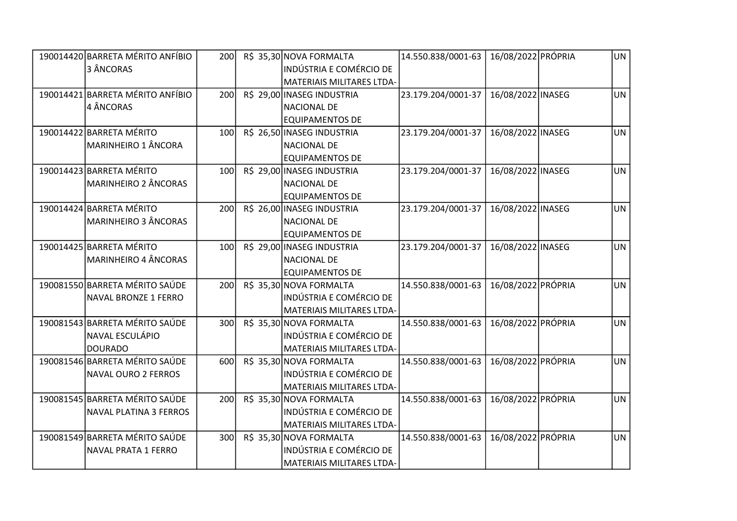| 190014420 BARRETA MÉRITO ANFÍBIO | 200              |  | R\$ 35,30 NOVA FORMALTA        | 14.550.838/0001-63 | 16/08/2022 PRÓPRIA | UN        |
|----------------------------------|------------------|--|--------------------------------|--------------------|--------------------|-----------|
| 3 ÂNCORAS                        |                  |  | <b>INDÚSTRIA E COMÉRCIO DE</b> |                    |                    |           |
|                                  |                  |  | MATERIAIS MILITARES LTDA-      |                    |                    |           |
| 190014421 BARRETA MÉRITO ANFÍBIO | 200              |  | R\$ 29,00 INASEG INDUSTRIA     | 23.179.204/0001-37 | 16/08/2022 INASEG  | <b>UN</b> |
| 4 ÂNCORAS                        |                  |  | <b>NACIONAL DE</b>             |                    |                    |           |
|                                  |                  |  | <b>EQUIPAMENTOS DE</b>         |                    |                    |           |
| 190014422 BARRETA MÉRITO         | 100 <sub>l</sub> |  | R\$ 26,50 INASEG INDUSTRIA     | 23.179.204/0001-37 | 16/08/2022 INASEG  | <b>UN</b> |
| MARINHEIRO 1 ÂNCORA              |                  |  | <b>NACIONAL DE</b>             |                    |                    |           |
|                                  |                  |  | <b>EQUIPAMENTOS DE</b>         |                    |                    |           |
| 190014423 BARRETA MÉRITO         | 100              |  | R\$ 29,00 INASEG INDUSTRIA     | 23.179.204/0001-37 | 16/08/2022 INASEG  | <b>UN</b> |
| <b>MARINHEIRO 2 ÂNCORAS</b>      |                  |  | <b>NACIONAL DE</b>             |                    |                    |           |
|                                  |                  |  | <b>EQUIPAMENTOS DE</b>         |                    |                    |           |
| 190014424 BARRETA MÉRITO         | 200              |  | R\$ 26,00 INASEG INDUSTRIA     | 23.179.204/0001-37 | 16/08/2022 INASEG  | <b>UN</b> |
| <b>MARINHEIRO 3 ÂNCORAS</b>      |                  |  | <b>NACIONAL DE</b>             |                    |                    |           |
|                                  |                  |  | <b>EQUIPAMENTOS DE</b>         |                    |                    |           |
| 190014425 BARRETA MÉRITO         | 100              |  | R\$ 29,00 INASEG INDUSTRIA     | 23.179.204/0001-37 | 16/08/2022 INASEG  | <b>UN</b> |
| MARINHEIRO 4 ÂNCORAS             |                  |  | <b>NACIONAL DE</b>             |                    |                    |           |
|                                  |                  |  | <b>EQUIPAMENTOS DE</b>         |                    |                    |           |
| 190081550 BARRETA MÉRITO SAÚDE   | 200              |  | R\$ 35,30 NOVA FORMALTA        | 14.550.838/0001-63 | 16/08/2022 PRÓPRIA | <b>UN</b> |
| NAVAL BRONZE 1 FERRO             |                  |  | INDÚSTRIA E COMÉRCIO DE        |                    |                    |           |
|                                  |                  |  | MATERIAIS MILITARES LTDA-      |                    |                    |           |
| 190081543 BARRETA MÉRITO SAÚDE   | 300              |  | R\$ 35,30 NOVA FORMALTA        | 14.550.838/0001-63 | 16/08/2022 PRÓPRIA | <b>UN</b> |
| NAVAL ESCULÁPIO                  |                  |  | <b>INDÚSTRIA E COMÉRCIO DE</b> |                    |                    |           |
| <b>DOURADO</b>                   |                  |  | MATERIAIS MILITARES LTDA-      |                    |                    |           |
| 190081546 BARRETA MÉRITO SAÚDE   | 600              |  | R\$ 35,30 NOVA FORMALTA        | 14.550.838/0001-63 | 16/08/2022 PRÓPRIA | <b>UN</b> |
| NAVAL OURO 2 FERROS              |                  |  | <b>INDÚSTRIA E COMÉRCIO DE</b> |                    |                    |           |
|                                  |                  |  | MATERIAIS MILITARES LTDA-      |                    |                    |           |
| 190081545 BARRETA MÉRITO SAÚDE   | 200              |  | R\$ 35,30 NOVA FORMALTA        | 14.550.838/0001-63 | 16/08/2022 PRÓPRIA | <b>UN</b> |
| NAVAL PLATINA 3 FERROS           |                  |  | INDÚSTRIA E COMÉRCIO DE        |                    |                    |           |
|                                  |                  |  | MATERIAIS MILITARES LTDA-      |                    |                    |           |
| 190081549 BARRETA MÉRITO SAÚDE   | 300              |  | R\$ 35,30 NOVA FORMALTA        | 14.550.838/0001-63 | 16/08/2022 PRÓPRIA | <b>UN</b> |
| NAVAL PRATA 1 FERRO              |                  |  | <b>INDÚSTRIA E COMÉRCIO DE</b> |                    |                    |           |
|                                  |                  |  | MATERIAIS MILITARES LTDA-      |                    |                    |           |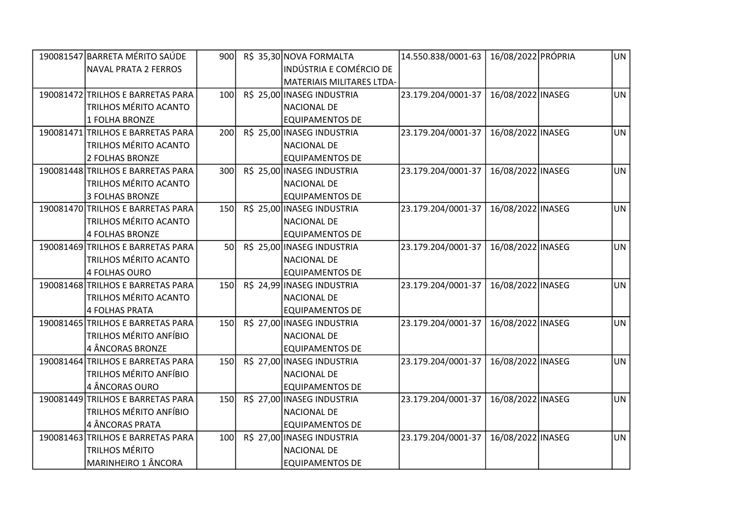| 190081547 BARRETA MÉRITO SAÚDE    | 900        | R\$ 35,30 NOVA FORMALTA        | 14.550.838/0001-63 | 16/08/2022 PRÓPRIA | UN        |
|-----------------------------------|------------|--------------------------------|--------------------|--------------------|-----------|
| NAVAL PRATA 2 FERROS              |            | <b>INDÚSTRIA E COMÉRCIO DE</b> |                    |                    |           |
|                                   |            | MATERIAIS MILITARES LTDA-      |                    |                    |           |
| 190081472 TRILHOS E BARRETAS PARA | 100        | R\$ 25,00 INASEG INDUSTRIA     | 23.179.204/0001-37 | 16/08/2022 INASEG  | <b>UN</b> |
| <b>TRILHOS MÉRITO ACANTO</b>      |            | <b>NACIONAL DE</b>             |                    |                    |           |
| 1 FOLHA BRONZE                    |            | <b>EQUIPAMENTOS DE</b>         |                    |                    |           |
| 190081471 TRILHOS E BARRETAS PARA | 200        | R\$ 25,00 INASEG INDUSTRIA     | 23.179.204/0001-37 | 16/08/2022 INASEG  | <b>UN</b> |
| <b>TRILHOS MÉRITO ACANTO</b>      |            | <b>NACIONAL DE</b>             |                    |                    |           |
| 2 FOLHAS BRONZE                   |            | <b>EQUIPAMENTOS DE</b>         |                    |                    |           |
| 190081448 TRILHOS E BARRETAS PARA | 300        | R\$ 25,00 INASEG INDUSTRIA     | 23.179.204/0001-37 | 16/08/2022 INASEG  | <b>UN</b> |
| <b>TRILHOS MÉRITO ACANTO</b>      |            | <b>NACIONAL DE</b>             |                    |                    |           |
| 3 FOLHAS BRONZE                   |            | <b>EQUIPAMENTOS DE</b>         |                    |                    |           |
| 190081470 TRILHOS E BARRETAS PARA | <b>150</b> | R\$ 25,00 INASEG INDUSTRIA     | 23.179.204/0001-37 | 16/08/2022 INASEG  | <b>UN</b> |
| <b>TRILHOS MÉRITO ACANTO</b>      |            | <b>NACIONAL DE</b>             |                    |                    |           |
| 4 FOLHAS BRONZE                   |            | <b>EQUIPAMENTOS DE</b>         |                    |                    |           |
| 190081469 TRILHOS E BARRETAS PARA | 50         | R\$ 25,00 INASEG INDUSTRIA     | 23.179.204/0001-37 | 16/08/2022 INASEG  | <b>UN</b> |
| <b>TRILHOS MÉRITO ACANTO</b>      |            | <b>NACIONAL DE</b>             |                    |                    |           |
| 4 FOLHAS OURO                     |            | <b>EQUIPAMENTOS DE</b>         |                    |                    |           |
| 190081468 TRILHOS E BARRETAS PARA | <b>150</b> | R\$ 24,99 INASEG INDUSTRIA     | 23.179.204/0001-37 | 16/08/2022 INASEG  | <b>UN</b> |
| TRILHOS MÉRITO ACANTO             |            | <b>NACIONAL DE</b>             |                    |                    |           |
| 4 FOLHAS PRATA                    |            | <b>EQUIPAMENTOS DE</b>         |                    |                    |           |
| 190081465 TRILHOS E BARRETAS PARA | <b>150</b> | R\$ 27,00 INASEG INDUSTRIA     | 23.179.204/0001-37 | 16/08/2022 INASEG  | <b>UN</b> |
| TRILHOS MÉRITO ANFÍBIO            |            | <b>NACIONAL DE</b>             |                    |                    |           |
| 4 ÂNCORAS BRONZE                  |            | <b>EQUIPAMENTOS DE</b>         |                    |                    |           |
| 190081464 TRILHOS E BARRETAS PARA | <b>150</b> | R\$ 27,00 INASEG INDUSTRIA     | 23.179.204/0001-37 | 16/08/2022 INASEG  | <b>UN</b> |
| TRILHOS MÉRITO ANFÍBIO            |            | <b>NACIONAL DE</b>             |                    |                    |           |
| 4 ÂNCORAS OURO                    |            | <b>EQUIPAMENTOS DE</b>         |                    |                    |           |
| 190081449 TRILHOS E BARRETAS PARA | 150        | R\$ 27,00 INASEG INDUSTRIA     | 23.179.204/0001-37 | 16/08/2022 INASEG  | <b>UN</b> |
| TRILHOS MÉRITO ANFÍBIO            |            | <b>NACIONAL DE</b>             |                    |                    |           |
| 4 ÂNCORAS PRATA                   |            | <b>EQUIPAMENTOS DE</b>         |                    |                    |           |
| 190081463 TRILHOS E BARRETAS PARA | 100        | R\$ 27,00 INASEG INDUSTRIA     | 23.179.204/0001-37 | 16/08/2022 INASEG  | <b>UN</b> |
| <b>TRILHOS MÉRITO</b>             |            | <b>NACIONAL DE</b>             |                    |                    |           |
| MARINHEIRO 1 ÂNCORA               |            | <b>EQUIPAMENTOS DE</b>         |                    |                    |           |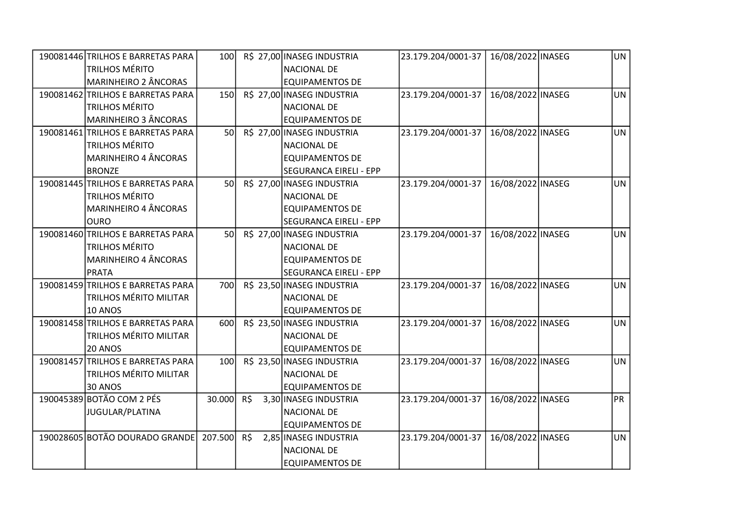| 190081446 TRILHOS E BARRETAS PARA | <b>100</b>      |     | R\$ 27,00 INASEG INDUSTRIA    | 23.179.204/0001-37 | 16/08/2022 INASEG | UN        |
|-----------------------------------|-----------------|-----|-------------------------------|--------------------|-------------------|-----------|
| <b>TRILHOS MÉRITO</b>             |                 |     | <b>NACIONAL DE</b>            |                    |                   |           |
| <b>MARINHEIRO 2 ÂNCORAS</b>       |                 |     | <b>EQUIPAMENTOS DE</b>        |                    |                   |           |
| 190081462 TRILHOS E BARRETAS PARA | 150             |     | R\$ 27,00 INASEG INDUSTRIA    | 23.179.204/0001-37 | 16/08/2022 INASEG | <b>UN</b> |
| <b>TRILHOS MÉRITO</b>             |                 |     | <b>NACIONAL DE</b>            |                    |                   |           |
| <b>MARINHEIRO 3 ÂNCORAS</b>       |                 |     | <b>EQUIPAMENTOS DE</b>        |                    |                   |           |
| 190081461 TRILHOS E BARRETAS PARA | <b>50</b>       |     | R\$ 27,00 INASEG INDUSTRIA    | 23.179.204/0001-37 | 16/08/2022 INASEG | <b>UN</b> |
| <b>TRILHOS MÉRITO</b>             |                 |     | <b>NACIONAL DE</b>            |                    |                   |           |
| <b>MARINHEIRO 4 ÂNCORAS</b>       |                 |     | <b>EQUIPAMENTOS DE</b>        |                    |                   |           |
| <b>BRONZE</b>                     |                 |     | <b>SEGURANCA EIRELI - EPP</b> |                    |                   |           |
| 190081445 TRILHOS E BARRETAS PARA | <b>50</b>       |     | R\$ 27,00 INASEG INDUSTRIA    | 23.179.204/0001-37 | 16/08/2022 INASEG | UN        |
| <b>TRILHOS MÉRITO</b>             |                 |     | <b>NACIONAL DE</b>            |                    |                   |           |
| <b>MARINHEIRO 4 ÂNCORAS</b>       |                 |     | <b>EQUIPAMENTOS DE</b>        |                    |                   |           |
| <b>OURO</b>                       |                 |     | <b>SEGURANCA EIRELI - EPP</b> |                    |                   |           |
| 190081460 TRILHOS E BARRETAS PARA | 50 <sup>1</sup> |     | R\$ 27,00 INASEG INDUSTRIA    | 23.179.204/0001-37 | 16/08/2022 INASEG | <b>UN</b> |
| <b>TRILHOS MÉRITO</b>             |                 |     | <b>NACIONAL DE</b>            |                    |                   |           |
| <b>MARINHEIRO 4 ÂNCORAS</b>       |                 |     | <b>EQUIPAMENTOS DE</b>        |                    |                   |           |
| <b>PRATA</b>                      |                 |     | <b>SEGURANCA EIRELI - EPP</b> |                    |                   |           |
| 190081459 TRILHOS E BARRETAS PARA | 700             |     | R\$ 23,50 INASEG INDUSTRIA    | 23.179.204/0001-37 | 16/08/2022 INASEG | <b>UN</b> |
| <b>TRILHOS MÉRITO MILITAR</b>     |                 |     | <b>NACIONAL DE</b>            |                    |                   |           |
| <b>10 ANOS</b>                    |                 |     | <b>EQUIPAMENTOS DE</b>        |                    |                   |           |
| 190081458 TRILHOS E BARRETAS PARA | 600             |     | R\$ 23,50 INASEG INDUSTRIA    | 23.179.204/0001-37 | 16/08/2022 INASEG | <b>UN</b> |
| <b>TRILHOS MÉRITO MILITAR</b>     |                 |     | <b>NACIONAL DE</b>            |                    |                   |           |
| 20 ANOS                           |                 |     | <b>EQUIPAMENTOS DE</b>        |                    |                   |           |
| 190081457 TRILHOS E BARRETAS PARA | 100             |     | R\$ 23,50 INASEG INDUSTRIA    | 23.179.204/0001-37 | 16/08/2022 INASEG | <b>UN</b> |
| <b>TRILHOS MÉRITO MILITAR</b>     |                 |     | <b>NACIONAL DE</b>            |                    |                   |           |
| 30 ANOS                           |                 |     | <b>EQUIPAMENTOS DE</b>        |                    |                   |           |
| 190045389 BOTÃO COM 2 PÉS         | 30.000          | R\$ | 3,30 INASEG INDUSTRIA         | 23.179.204/0001-37 | 16/08/2022 INASEG | PR        |
| JUGULAR/PLATINA                   |                 |     | <b>NACIONAL DE</b>            |                    |                   |           |
|                                   |                 |     | <b>EQUIPAMENTOS DE</b>        |                    |                   |           |
| 190028605 BOTÃO DOURADO GRANDE    | 207.500 R\$     |     | 2,85 INASEG INDUSTRIA         | 23.179.204/0001-37 | 16/08/2022 INASEG | <b>UN</b> |
|                                   |                 |     | <b>NACIONAL DE</b>            |                    |                   |           |
|                                   |                 |     | <b>EQUIPAMENTOS DE</b>        |                    |                   |           |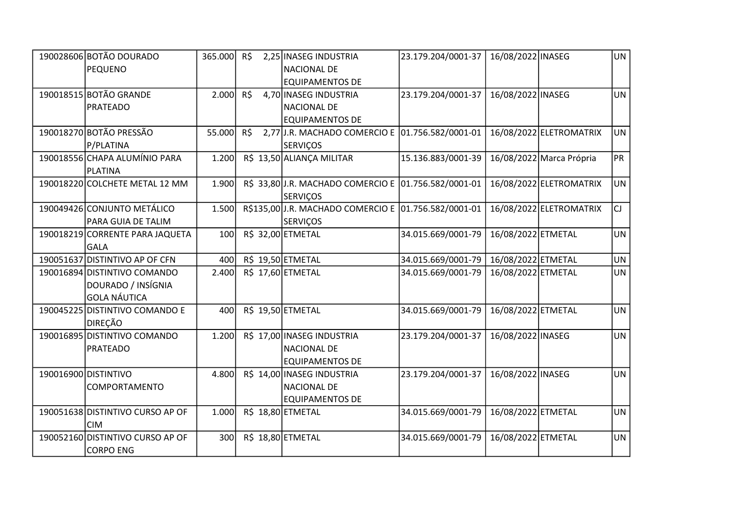| 190028606 BOTÃO DOURADO          | 365.000 R\$ |     | 2,25 INASEG INDUSTRIA                                | 23.179.204/0001-37 | 16/08/2022 INASEG  |                          | UN        |
|----------------------------------|-------------|-----|------------------------------------------------------|--------------------|--------------------|--------------------------|-----------|
| PEQUENO                          |             |     | <b>NACIONAL DE</b>                                   |                    |                    |                          |           |
|                                  |             |     | <b>EQUIPAMENTOS DE</b>                               |                    |                    |                          |           |
| 190018515 BOTÃO GRANDE           | 2.000       | R\$ | 4,70 INASEG INDUSTRIA                                | 23.179.204/0001-37 | 16/08/2022 INASEG  |                          | <b>UN</b> |
| PRATEADO                         |             |     | <b>NACIONAL DE</b>                                   |                    |                    |                          |           |
|                                  |             |     | <b>EQUIPAMENTOS DE</b>                               |                    |                    |                          |           |
| 190018270 BOTÃO PRESSÃO          | 55.000      | R\$ | 2,77 J.R. MACHADO COMERCIO E 01.756.582/0001-01      |                    |                    | 16/08/2022 ELETROMATRIX  | <b>UN</b> |
| P/PLATINA                        |             |     | <b>SERVIÇOS</b>                                      |                    |                    |                          |           |
| 190018556 CHAPA ALUMÍNIO PARA    | 1.200       |     | R\$ 13,50 ALIANÇA MILITAR                            | 15.136.883/0001-39 |                    | 16/08/2022 Marca Própria | <b>PR</b> |
| PLATINA                          |             |     |                                                      |                    |                    |                          |           |
| 190018220 COLCHETE METAL 12 MM   | 1.900       |     | R\$ 33,80 J.R. MACHADO COMERCIO E 01.756.582/0001-01 |                    |                    | 16/08/2022 ELETROMATRIX  | <b>UN</b> |
|                                  |             |     | <b>SERVIÇOS</b>                                      |                    |                    |                          |           |
| 190049426 CONJUNTO METÁLICO      | 1.500       |     | R\$135,00 J.R. MACHADO COMERCIO E 01.756.582/0001-01 |                    |                    | 16/08/2022 ELETROMATRIX  | CJ        |
| PARA GUIA DE TALIM               |             |     | <b>SERVIÇOS</b>                                      |                    |                    |                          |           |
| 190018219 CORRENTE PARA JAQUETA  | 100         |     | R\$ 32,00 ETMETAL                                    | 34.015.669/0001-79 | 16/08/2022 ETMETAL |                          | <b>UN</b> |
| <b>GALA</b>                      |             |     |                                                      |                    |                    |                          |           |
| 190051637 DISTINTIVO AP OF CFN   | 400         |     | R\$ 19,50 ETMETAL                                    | 34.015.669/0001-79 | 16/08/2022 ETMETAL |                          | <b>UN</b> |
| 190016894 DISTINTIVO COMANDO     | 2.400       |     | R\$ 17,60 ETMETAL                                    | 34.015.669/0001-79 | 16/08/2022 ETMETAL |                          | <b>UN</b> |
| DOURADO / INSÍGNIA               |             |     |                                                      |                    |                    |                          |           |
| <b>GOLA NÁUTICA</b>              |             |     |                                                      |                    |                    |                          |           |
| 190045225 DISTINTIVO COMANDO E   | 400         |     | R\$ 19,50 ETMETAL                                    | 34.015.669/0001-79 | 16/08/2022 ETMETAL |                          | <b>UN</b> |
| DIREÇÃO                          |             |     |                                                      |                    |                    |                          |           |
| 190016895 DISTINTIVO COMANDO     | 1.200       |     | R\$ 17,00 INASEG INDUSTRIA                           | 23.179.204/0001-37 | 16/08/2022 INASEG  |                          | <b>UN</b> |
| PRATEADO                         |             |     | <b>NACIONAL DE</b>                                   |                    |                    |                          |           |
|                                  |             |     | <b>EQUIPAMENTOS DE</b>                               |                    |                    |                          |           |
| 190016900 DISTINTIVO             | 4.800       |     | R\$ 14,00 INASEG INDUSTRIA                           | 23.179.204/0001-37 | 16/08/2022 INASEG  |                          | <b>UN</b> |
| COMPORTAMENTO                    |             |     | <b>NACIONAL DE</b>                                   |                    |                    |                          |           |
|                                  |             |     | <b>EQUIPAMENTOS DE</b>                               |                    |                    |                          |           |
| 190051638 DISTINTIVO CURSO AP OF | 1.000       |     | R\$ 18,80 ETMETAL                                    | 34.015.669/0001-79 | 16/08/2022 ETMETAL |                          | <b>UN</b> |
| <b>CIM</b>                       |             |     |                                                      |                    |                    |                          |           |
| 190052160 DISTINTIVO CURSO AP OF | 300         |     | R\$ 18,80 ETMETAL                                    | 34.015.669/0001-79 | 16/08/2022 ETMETAL |                          | <b>UN</b> |
| <b>CORPO ENG</b>                 |             |     |                                                      |                    |                    |                          |           |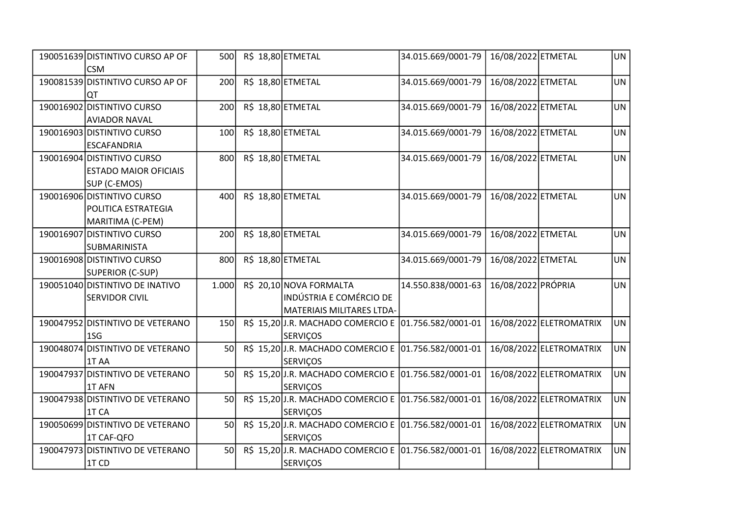| 190051639 DISTINTIVO CURSO AP OF<br><b>CSM</b>                             | 500   |  | R\$ 18,80 ETMETAL                                                               | 34.015.669/0001-79 | 16/08/2022 ETMETAL |                         | UN        |
|----------------------------------------------------------------------------|-------|--|---------------------------------------------------------------------------------|--------------------|--------------------|-------------------------|-----------|
| 190081539 DISTINTIVO CURSO AP OF<br> QT                                    | 200   |  | R\$ 18,80 ETMETAL                                                               | 34.015.669/0001-79 | 16/08/2022 ETMETAL |                         | <b>UN</b> |
| 190016902 DISTINTIVO CURSO<br><b>AVIADOR NAVAL</b>                         | 200   |  | R\$ 18,80 ETMETAL                                                               | 34.015.669/0001-79 | 16/08/2022 ETMETAL |                         | UN        |
| 190016903 DISTINTIVO CURSO<br><b>ESCAFANDRIA</b>                           | 100   |  | R\$ 18,80 ETMETAL                                                               | 34.015.669/0001-79 | 16/08/2022 ETMETAL |                         | <b>UN</b> |
| 190016904 DISTINTIVO CURSO<br><b>ESTADO MAIOR OFICIAIS</b><br>SUP (C-EMOS) | 800   |  | R\$ 18,80 ETMETAL                                                               | 34.015.669/0001-79 | 16/08/2022 ETMETAL |                         | UN        |
| 190016906 DISTINTIVO CURSO<br>POLITICA ESTRATEGIA<br>MARITIMA (C-PEM)      | 400   |  | R\$ 18,80 ETMETAL                                                               | 34.015.669/0001-79 | 16/08/2022 ETMETAL |                         | <b>UN</b> |
| 190016907 DISTINTIVO CURSO<br><b>SUBMARINISTA</b>                          | 200   |  | R\$ 18,80 ETMETAL                                                               | 34.015.669/0001-79 | 16/08/2022 ETMETAL |                         | <b>UN</b> |
| 190016908 DISTINTIVO CURSO<br>SUPERIOR (C-SUP)                             | 800   |  | R\$ 18,80 ETMETAL                                                               | 34.015.669/0001-79 | 16/08/2022 ETMETAL |                         | <b>UN</b> |
| 190051040 DISTINTIVO DE INATIVO<br><b>SERVIDOR CIVIL</b>                   | 1.000 |  | R\$ 20,10 NOVA FORMALTA<br>INDÚSTRIA E COMÉRCIO DE<br>MATERIAIS MILITARES LTDA- | 14.550.838/0001-63 | 16/08/2022 PRÓPRIA |                         | <b>UN</b> |
| 190047952 DISTINTIVO DE VETERANO<br>1S <sub>G</sub>                        | 150   |  | R\$ 15,20 J.R. MACHADO COMERCIO E 01.756.582/0001-01<br><b>SERVIÇOS</b>         |                    |                    | 16/08/2022 ELETROMATRIX | <b>UN</b> |
| 190048074 DISTINTIVO DE VETERANO<br>1T AA                                  | 50    |  | R\$ 15,20 J.R. MACHADO COMERCIO E 01.756.582/0001-01<br><b>SERVIÇOS</b>         |                    |                    | 16/08/2022 ELETROMATRIX | <b>UN</b> |
| 190047937 DISTINTIVO DE VETERANO<br>1T AFN                                 | 50    |  | R\$ 15,20J.R. MACHADO COMERCIO E 01.756.582/0001-01<br><b>SERVIÇOS</b>          |                    |                    | 16/08/2022 ELETROMATRIX | <b>UN</b> |
| 190047938 DISTINTIVO DE VETERANO<br>1T CA                                  | 50    |  | R\$ 15,20 J.R. MACHADO COMERCIO E 01.756.582/0001-01<br><b>SERVIÇOS</b>         |                    |                    | 16/08/2022 ELETROMATRIX | <b>UN</b> |
| 190050699 DISTINTIVO DE VETERANO<br>1T CAF-QFO                             | 50    |  | R\$ 15,20J.R. MACHADO COMERCIO E 01.756.582/0001-01<br><b>SERVIÇOS</b>          |                    |                    | 16/08/2022 ELETROMATRIX | <b>UN</b> |
| 190047973 DISTINTIVO DE VETERANO<br>1T CD                                  | 50    |  | R\$ 15,20 J.R. MACHADO COMERCIO E 01.756.582/0001-01<br><b>SERVIÇOS</b>         |                    |                    | 16/08/2022 ELETROMATRIX | <b>UN</b> |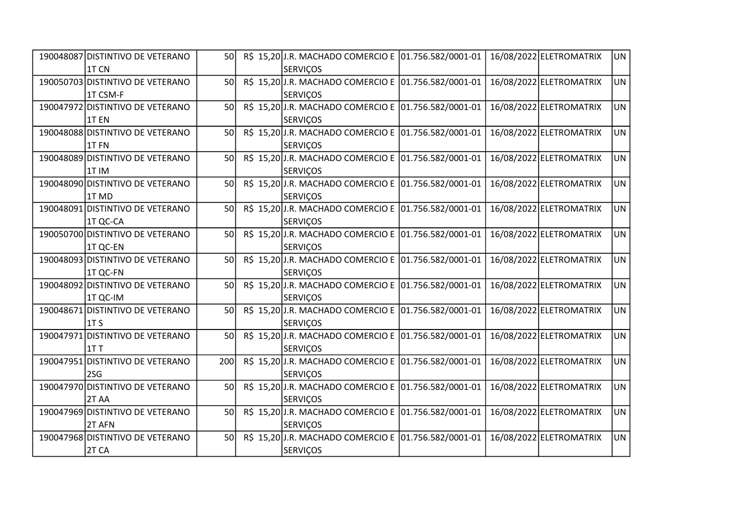| 190048087 DISTINTIVO DE VETERANO | <b>50</b> |  | R\$ 15,20 J.R. MACHADO COMERCIO E 01.756.582/0001-01 |  | 16/08/2022 ELETROMATRIX | UN        |
|----------------------------------|-----------|--|------------------------------------------------------|--|-------------------------|-----------|
| 1T CN                            |           |  | <b>SERVICOS</b>                                      |  |                         |           |
| 190050703 DISTINTIVO DE VETERANO | 50        |  | R\$ 15,20 J.R. MACHADO COMERCIO E 01.756.582/0001-01 |  | 16/08/2022 ELETROMATRIX | UN        |
| 1T CSM-F                         |           |  | <b>SERVIÇOS</b>                                      |  |                         |           |
| 190047972 DISTINTIVO DE VETERANO | 50        |  | R\$ 15,20 J.R. MACHADO COMERCIO E 01.756.582/0001-01 |  | 16/08/2022 ELETROMATRIX | <b>UN</b> |
| 1T <sub>EN</sub>                 |           |  | <b>SERVIÇOS</b>                                      |  |                         |           |
| 190048088 DISTINTIVO DE VETERANO | 50        |  | R\$ 15,20 J.R. MACHADO COMERCIO E 01.756.582/0001-01 |  | 16/08/2022 ELETROMATRIX | <b>UN</b> |
| 1TFN                             |           |  | <b>SERVIÇOS</b>                                      |  |                         |           |
| 190048089 DISTINTIVO DE VETERANO | <b>50</b> |  | R\$ 15,20 J.R. MACHADO COMERCIO E 01.756.582/0001-01 |  | 16/08/2022 ELETROMATRIX | <b>UN</b> |
| 1TIM                             |           |  | <b>SERVIÇOS</b>                                      |  |                         |           |
| 190048090 DISTINTIVO DE VETERANO | 50        |  | R\$ 15,20 J.R. MACHADO COMERCIO E 01.756.582/0001-01 |  | 16/08/2022 ELETROMATRIX | <b>UN</b> |
| 1T MD                            |           |  | <b>SERVIÇOS</b>                                      |  |                         |           |
| 190048091 DISTINTIVO DE VETERANO | 50        |  | R\$ 15,20 J.R. MACHADO COMERCIO E 01.756.582/0001-01 |  | 16/08/2022 ELETROMATRIX | <b>UN</b> |
| 1T QC-CA                         |           |  | <b>SERVIÇOS</b>                                      |  |                         |           |
| 190050700 DISTINTIVO DE VETERANO | 50        |  | R\$ 15,20JJ.R. MACHADO COMERCIO E 01.756.582/0001-01 |  | 16/08/2022 ELETROMATRIX | <b>UN</b> |
| 1T QC-EN                         |           |  | <b>SERVIÇOS</b>                                      |  |                         |           |
| 190048093 DISTINTIVO DE VETERANO | 50        |  | R\$ 15,20 J.R. MACHADO COMERCIO E 01.756.582/0001-01 |  | 16/08/2022 ELETROMATRIX | <b>UN</b> |
| 1T QC-FN                         |           |  | <b>SERVIÇOS</b>                                      |  |                         |           |
| 190048092 DISTINTIVO DE VETERANO | 50        |  | R\$ 15,20 J.R. MACHADO COMERCIO E 01.756.582/0001-01 |  | 16/08/2022 ELETROMATRIX | <b>UN</b> |
| 1T QC-IM                         |           |  | SERVIÇOS                                             |  |                         |           |
| 190048671 DISTINTIVO DE VETERANO | 50        |  | R\$ 15,20 J.R. MACHADO COMERCIO E 01.756.582/0001-01 |  | 16/08/2022 ELETROMATRIX | <b>UN</b> |
| 1T <sub>S</sub>                  |           |  | <b>SERVIÇOS</b>                                      |  |                         |           |
| 190047971 DISTINTIVO DE VETERANO | 50        |  | R\$ 15,20 J.R. MACHADO COMERCIO E 01.756.582/0001-01 |  | 16/08/2022 ELETROMATRIX | <b>UN</b> |
| 11 T                             |           |  | <b>SERVIÇOS</b>                                      |  |                         |           |
| 190047951 DISTINTIVO DE VETERANO | 200       |  | R\$ 15,20 J.R. MACHADO COMERCIO E 01.756.582/0001-01 |  | 16/08/2022 ELETROMATRIX | <b>UN</b> |
| 2SG                              |           |  | <b>SERVIÇOS</b>                                      |  |                         |           |
| 190047970 DISTINTIVO DE VETERANO | 50        |  | R\$ 15,20 J.R. MACHADO COMERCIO E 01.756.582/0001-01 |  | 16/08/2022 ELETROMATRIX | <b>UN</b> |
| 2TAA                             |           |  | <b>SERVIÇOS</b>                                      |  |                         |           |
| 190047969 DISTINTIVO DE VETERANO | 50        |  | R\$ 15,20 J.R. MACHADO COMERCIO E 01.756.582/0001-01 |  | 16/08/2022 ELETROMATRIX | <b>UN</b> |
| 2T AFN                           |           |  | <b>SERVIÇOS</b>                                      |  |                         |           |
| 190047968 DISTINTIVO DE VETERANO | 50        |  | R\$ 15,20 J.R. MACHADO COMERCIO E 01.756.582/0001-01 |  | 16/08/2022 ELETROMATRIX | <b>UN</b> |
| 2T CA                            |           |  | <b>SERVIÇOS</b>                                      |  |                         |           |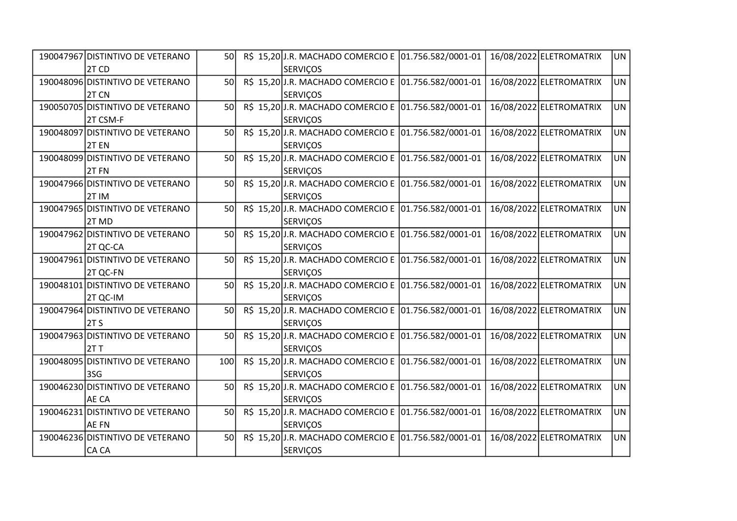| 190047967 DISTINTIVO DE VETERANO | <b>50</b> |  | R\$ 15,20 J.R. MACHADO COMERCIO E 01.756.582/0001-01 |  | 16/08/2022 ELETROMATRIX | UN        |
|----------------------------------|-----------|--|------------------------------------------------------|--|-------------------------|-----------|
| 2T CD                            |           |  | <b>SERVICOS</b>                                      |  |                         |           |
| 190048096 DISTINTIVO DE VETERANO | 50        |  | R\$ 15,20 J.R. MACHADO COMERCIO E 01.756.582/0001-01 |  | 16/08/2022 ELETROMATRIX | UN        |
| 2T CN                            |           |  | <b>SERVIÇOS</b>                                      |  |                         |           |
| 190050705 DISTINTIVO DE VETERANO | 50        |  | R\$ 15,20 J.R. MACHADO COMERCIO E 01.756.582/0001-01 |  | 16/08/2022 ELETROMATRIX | <b>UN</b> |
| 2T CSM-F                         |           |  | <b>SERVIÇOS</b>                                      |  |                         |           |
| 190048097 DISTINTIVO DE VETERANO | 50        |  | R\$ 15,20 J.R. MACHADO COMERCIO E 01.756.582/0001-01 |  | 16/08/2022 ELETROMATRIX | <b>UN</b> |
| 2TEN                             |           |  | <b>SERVIÇOS</b>                                      |  |                         |           |
| 190048099 DISTINTIVO DE VETERANO | <b>50</b> |  | R\$ 15,20 J.R. MACHADO COMERCIO E 01.756.582/0001-01 |  | 16/08/2022 ELETROMATRIX | <b>UN</b> |
| $2T$ FN                          |           |  | <b>SERVIÇOS</b>                                      |  |                         |           |
| 190047966 DISTINTIVO DE VETERANO | 50        |  | R\$ 15,20 J.R. MACHADO COMERCIO E 01.756.582/0001-01 |  | 16/08/2022 ELETROMATRIX | <b>UN</b> |
| 2T IM                            |           |  | <b>SERVIÇOS</b>                                      |  |                         |           |
| 190047965 DISTINTIVO DE VETERANO | 50        |  | R\$ 15,20 J.R. MACHADO COMERCIO E 01.756.582/0001-01 |  | 16/08/2022 ELETROMATRIX | <b>UN</b> |
| 2T MD                            |           |  | <b>SERVIÇOS</b>                                      |  |                         |           |
| 190047962 DISTINTIVO DE VETERANO | 50        |  | R\$ 15,20JJ.R. MACHADO COMERCIO E 01.756.582/0001-01 |  | 16/08/2022 ELETROMATRIX | <b>UN</b> |
| 2T QC-CA                         |           |  | <b>SERVIÇOS</b>                                      |  |                         |           |
| 190047961 DISTINTIVO DE VETERANO | 50        |  | R\$ 15,20 J.R. MACHADO COMERCIO E 01.756.582/0001-01 |  | 16/08/2022 ELETROMATRIX | <b>UN</b> |
| 2T QC-FN                         |           |  | <b>SERVIÇOS</b>                                      |  |                         |           |
| 190048101 DISTINTIVO DE VETERANO | 50        |  | R\$ 15,20 J.R. MACHADO COMERCIO E 01.756.582/0001-01 |  | 16/08/2022 ELETROMATRIX | <b>UN</b> |
| 2T QC-IM                         |           |  | SERVIÇOS                                             |  |                         |           |
| 190047964 DISTINTIVO DE VETERANO | 50        |  | R\$ 15,20JJ.R. MACHADO COMERCIO E 01.756.582/0001-01 |  | 16/08/2022 ELETROMATRIX | <b>UN</b> |
| 2T S                             |           |  | <b>SERVIÇOS</b>                                      |  |                         |           |
| 190047963 DISTINTIVO DE VETERANO | 50        |  | R\$ 15,20 J.R. MACHADO COMERCIO E 01.756.582/0001-01 |  | 16/08/2022 ELETROMATRIX | <b>UN</b> |
| 2T T                             |           |  | <b>SERVIÇOS</b>                                      |  |                         |           |
| 190048095 DISTINTIVO DE VETERANO | 100       |  | R\$ 15,20 J.R. MACHADO COMERCIO E 01.756.582/0001-01 |  | 16/08/2022 ELETROMATRIX | <b>UN</b> |
| 3SG                              |           |  | <b>SERVIÇOS</b>                                      |  |                         |           |
| 190046230 DISTINTIVO DE VETERANO | 50        |  | R\$ 15,20 J.R. MACHADO COMERCIO E 01.756.582/0001-01 |  | 16/08/2022 ELETROMATRIX | <b>UN</b> |
| AE CA                            |           |  | <b>SERVIÇOS</b>                                      |  |                         |           |
| 190046231 DISTINTIVO DE VETERANO | 50        |  | R\$ 15,20 J.R. MACHADO COMERCIO E 01.756.582/0001-01 |  | 16/08/2022 ELETROMATRIX | <b>UN</b> |
| AE FN                            |           |  | <b>SERVIÇOS</b>                                      |  |                         |           |
| 190046236 DISTINTIVO DE VETERANO | 50        |  | R\$ 15,20 J.R. MACHADO COMERCIO E 01.756.582/0001-01 |  | 16/08/2022 ELETROMATRIX | <b>UN</b> |
| CA CA                            |           |  | <b>SERVIÇOS</b>                                      |  |                         |           |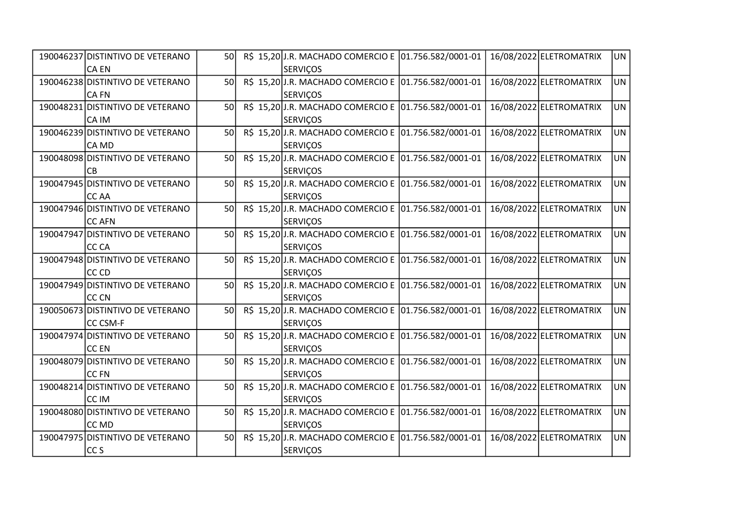| 190046237 DISTINTIVO DE VETERANO | <b>50</b> |  | R\$ 15,20 J.R. MACHADO COMERCIO E 01.756.582/0001-01 |  | 16/08/2022 ELETROMATRIX | UN        |
|----------------------------------|-----------|--|------------------------------------------------------|--|-------------------------|-----------|
| <b>CA EN</b>                     |           |  | <b>SERVIÇOS</b>                                      |  |                         |           |
| 190046238 DISTINTIVO DE VETERANO | 50        |  | R\$ 15,20 J.R. MACHADO COMERCIO E 01.756.582/0001-01 |  | 16/08/2022 ELETROMATRIX | <b>UN</b> |
| <b>CA FN</b>                     |           |  | <b>SERVIÇOS</b>                                      |  |                         |           |
| 190048231 DISTINTIVO DE VETERANO | 50        |  | R\$ 15,20 J.R. MACHADO COMERCIO E 01.756.582/0001-01 |  | 16/08/2022 ELETROMATRIX | <b>UN</b> |
| CA IM                            |           |  | <b>SERVIÇOS</b>                                      |  |                         |           |
| 190046239 DISTINTIVO DE VETERANO | 50        |  | R\$ 15,20 J.R. MACHADO COMERCIO E 01.756.582/0001-01 |  | 16/08/2022 ELETROMATRIX | <b>UN</b> |
| CA MD                            |           |  | <b>SERVICOS</b>                                      |  |                         |           |
| 190048098 DISTINTIVO DE VETERANO | 50        |  | R\$ 15,20 J.R. MACHADO COMERCIO E 01.756.582/0001-01 |  | 16/08/2022 ELETROMATRIX | <b>UN</b> |
| CB                               |           |  | <b>SERVIÇOS</b>                                      |  |                         |           |
| 190047945 DISTINTIVO DE VETERANO | 50        |  | R\$ 15,20 J.R. MACHADO COMERCIO E 01.756.582/0001-01 |  | 16/08/2022 ELETROMATRIX | <b>UN</b> |
| CC AA                            |           |  | <b>SERVIÇOS</b>                                      |  |                         |           |
| 190047946 DISTINTIVO DE VETERANO | 50        |  | R\$ 15,20 J.R. MACHADO COMERCIO E 01.756.582/0001-01 |  | 16/08/2022 ELETROMATRIX | <b>UN</b> |
| CC AFN                           |           |  | SERVIÇOS                                             |  |                         |           |
| 190047947 DISTINTIVO DE VETERANO | 50        |  | R\$ 15,20 J.R. MACHADO COMERCIO E 01.756.582/0001-01 |  | 16/08/2022 ELETROMATRIX | UN        |
| <b>CC CA</b>                     |           |  | <b>SERVIÇOS</b>                                      |  |                         |           |
| 190047948 DISTINTIVO DE VETERANO | 50        |  | R\$ 15,20 J.R. MACHADO COMERCIO E 01.756.582/0001-01 |  | 16/08/2022 ELETROMATRIX | <b>UN</b> |
| CC CD                            |           |  | <b>SERVIÇOS</b>                                      |  |                         |           |
| 190047949 DISTINTIVO DE VETERANO | 50        |  | R\$ 15,20 J.R. MACHADO COMERCIO E 01.756.582/0001-01 |  | 16/08/2022 ELETROMATRIX | <b>UN</b> |
| <b>CC CN</b>                     |           |  | <b>SERVIÇOS</b>                                      |  |                         |           |
| 190050673 DISTINTIVO DE VETERANO | 50        |  | R\$ 15,20 J.R. MACHADO COMERCIO E 01.756.582/0001-01 |  | 16/08/2022 ELETROMATRIX | <b>UN</b> |
| <b>CC CSM-F</b>                  |           |  | <b>SERVIÇOS</b>                                      |  |                         |           |
| 190047974 DISTINTIVO DE VETERANO | 50        |  | R\$ 15,20 J.R. MACHADO COMERCIO E 01.756.582/0001-01 |  | 16/08/2022 ELETROMATRIX | <b>UN</b> |
| CC EN                            |           |  | <b>SERVIÇOS</b>                                      |  |                         |           |
| 190048079 DISTINTIVO DE VETERANO | 50        |  | R\$ 15,20 J.R. MACHADO COMERCIO E 01.756.582/0001-01 |  | 16/08/2022 ELETROMATRIX | <b>UN</b> |
| CC FN                            |           |  | <b>SERVIÇOS</b>                                      |  |                         |           |
| 190048214 DISTINTIVO DE VETERANO | 50        |  | R\$ 15,20 J.R. MACHADO COMERCIO E 01.756.582/0001-01 |  | 16/08/2022 ELETROMATRIX | <b>UN</b> |
| CC IM                            |           |  | <b>SERVIÇOS</b>                                      |  |                         |           |
| 190048080 DISTINTIVO DE VETERANO | 50        |  | R\$ 15,20 J.R. MACHADO COMERCIO E 01.756.582/0001-01 |  | 16/08/2022 ELETROMATRIX | <b>UN</b> |
| CC MD                            |           |  | <b>SERVIÇOS</b>                                      |  |                         |           |
| 190047975 DISTINTIVO DE VETERANO | 50        |  | R\$ 15,20 J.R. MACHADO COMERCIO E 01.756.582/0001-01 |  | 16/08/2022 ELETROMATRIX | <b>UN</b> |
| CCS                              |           |  | <b>SERVIÇOS</b>                                      |  |                         |           |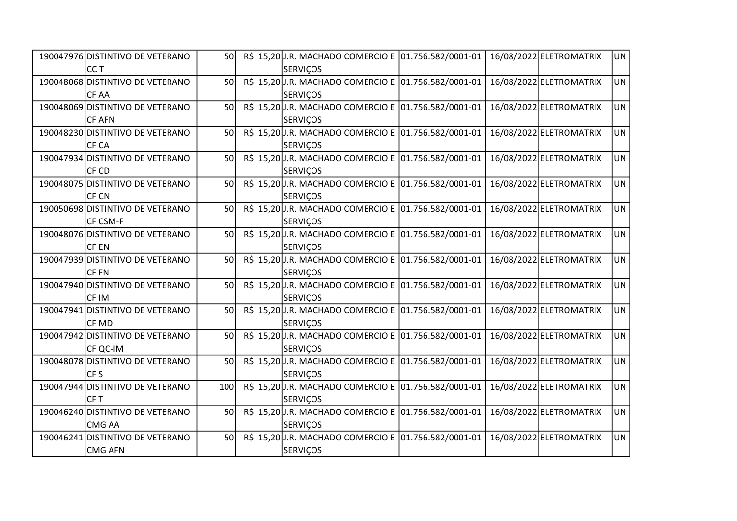| 190047976 DISTINTIVO DE VETERANO | 50              |  | R\$ 15,20 J.R. MACHADO COMERCIO E 01.756.582/0001-01 |  | 16/08/2022 ELETROMATRIX | UN        |
|----------------------------------|-----------------|--|------------------------------------------------------|--|-------------------------|-----------|
| ICC T                            |                 |  | <b>SERVIÇOS</b>                                      |  |                         |           |
| 190048068 DISTINTIVO DE VETERANO | 50              |  | R\$ 15,20 J.R. MACHADO COMERCIO E 01.756.582/0001-01 |  | 16/08/2022 ELETROMATRIX | UN        |
| CF AA                            |                 |  | <b>SERVIÇOS</b>                                      |  |                         |           |
| 190048069 DISTINTIVO DE VETERANO | 50              |  | R\$ 15,20 J.R. MACHADO COMERCIO E 01.756.582/0001-01 |  | 16/08/2022 ELETROMATRIX | <b>UN</b> |
| <b>CF AFN</b>                    |                 |  | <b>SERVIÇOS</b>                                      |  |                         |           |
| 190048230 DISTINTIVO DE VETERANO | 50              |  | R\$ 15,20 J.R. MACHADO COMERCIO E 01.756.582/0001-01 |  | 16/08/2022 ELETROMATRIX | <b>UN</b> |
| CF CA                            |                 |  | <b>SERVIÇOS</b>                                      |  |                         |           |
| 190047934 DISTINTIVO DE VETERANO | 50l             |  | R\$ 15,20 J.R. MACHADO COMERCIO E 01.756.582/0001-01 |  | 16/08/2022 ELETROMATRIX | UN        |
| CF CD                            |                 |  | <b>SERVIÇOS</b>                                      |  |                         |           |
| 190048075 DISTINTIVO DE VETERANO | 50              |  | R\$ 15,20 J.R. MACHADO COMERCIO E 01.756.582/0001-01 |  | 16/08/2022 ELETROMATRIX | <b>UN</b> |
| CF CN                            |                 |  | <b>SERVIÇOS</b>                                      |  |                         |           |
| 190050698 DISTINTIVO DE VETERANO | 50 <sup>1</sup> |  | R\$ 15,20 J.R. MACHADO COMERCIO E 01.756.582/0001-01 |  | 16/08/2022 ELETROMATRIX | <b>UN</b> |
| CF CSM-F                         |                 |  | <b>SERVIÇOS</b>                                      |  |                         |           |
| 190048076 DISTINTIVO DE VETERANO | 50l             |  | R\$ 15,20 J.R. MACHADO COMERCIO E 01.756.582/0001-01 |  | 16/08/2022 ELETROMATRIX | UN        |
| CF EN                            |                 |  | <b>SERVIÇOS</b>                                      |  |                         |           |
| 190047939 DISTINTIVO DE VETERANO | 50              |  | R\$ 15,20 J.R. MACHADO COMERCIO E 01.756.582/0001-01 |  | 16/08/2022 ELETROMATRIX | <b>UN</b> |
| CF FN                            |                 |  | <b>SERVIÇOS</b>                                      |  |                         |           |
| 190047940 DISTINTIVO DE VETERANO | 50              |  | R\$ 15,20 J.R. MACHADO COMERCIO E 01.756.582/0001-01 |  | 16/08/2022 ELETROMATRIX | <b>UN</b> |
| <b>CF IM</b>                     |                 |  | <b>SERVIÇOS</b>                                      |  |                         |           |
| 190047941 DISTINTIVO DE VETERANO | 50              |  | R\$ 15,20J.R. MACHADO COMERCIO E 01.756.582/0001-01  |  | 16/08/2022 ELETROMATRIX | UN        |
| CF MD                            |                 |  | <b>SERVIÇOS</b>                                      |  |                         |           |
| 190047942 DISTINTIVO DE VETERANO | 50              |  | R\$ 15,20 J.R. MACHADO COMERCIO E 01.756.582/0001-01 |  | 16/08/2022 ELETROMATRIX | <b>UN</b> |
| CF QC-IM                         |                 |  | <b>SERVIÇOS</b>                                      |  |                         |           |
| 190048078 DISTINTIVO DE VETERANO | 50              |  | R\$ 15,20 J.R. MACHADO COMERCIO E 01.756.582/0001-01 |  | 16/08/2022 ELETROMATRIX | <b>UN</b> |
| CFS                              |                 |  | <b>SERVIÇOS</b>                                      |  |                         |           |
| 190047944 DISTINTIVO DE VETERANO | 100             |  | R\$ 15,20 J.R. MACHADO COMERCIO E 01.756.582/0001-01 |  | 16/08/2022 ELETROMATRIX | UN        |
| CF <sub>T</sub>                  |                 |  | <b>SERVIÇOS</b>                                      |  |                         |           |
| 190046240 DISTINTIVO DE VETERANO | 50              |  | R\$ 15,20 J.R. MACHADO COMERCIO E 01.756.582/0001-01 |  | 16/08/2022 ELETROMATRIX | <b>UN</b> |
| CMG AA                           |                 |  | <b>SERVIÇOS</b>                                      |  |                         |           |
| 190046241 DISTINTIVO DE VETERANO | 50              |  | R\$ 15,20 J.R. MACHADO COMERCIO E 01.756.582/0001-01 |  | 16/08/2022 ELETROMATRIX | UN        |
| <b>CMG AFN</b>                   |                 |  | <b>SERVIÇOS</b>                                      |  |                         |           |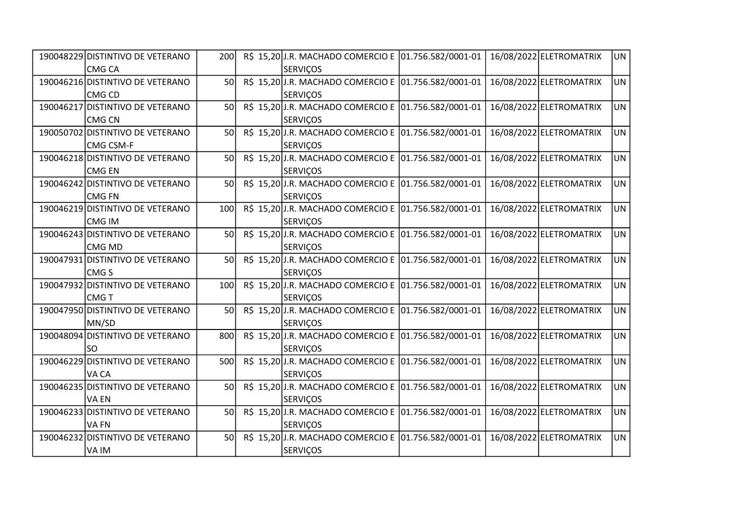| 190048229 DISTINTIVO DE VETERANO | 200 |  | R\$ 15,20 J.R. MACHADO COMERCIO E 01.756.582/0001-01 |  | 16/08/2022 ELETROMATRIX | <b>UN</b> |
|----------------------------------|-----|--|------------------------------------------------------|--|-------------------------|-----------|
| <b>CMG CA</b>                    |     |  | <b>SERVIÇOS</b>                                      |  |                         |           |
| 190046216 DISTINTIVO DE VETERANO | 50  |  | R\$ 15,20 J.R. MACHADO COMERCIO E 01.756.582/0001-01 |  | 16/08/2022 ELETROMATRIX | UN        |
| <b>CMG CD</b>                    |     |  | <b>SERVIÇOS</b>                                      |  |                         |           |
| 190046217 DISTINTIVO DE VETERANO | 50  |  | R\$ 15,20 J.R. MACHADO COMERCIO E 01.756.582/0001-01 |  | 16/08/2022 ELETROMATRIX | <b>UN</b> |
| <b>CMG CN</b>                    |     |  | <b>SERVIÇOS</b>                                      |  |                         |           |
| 190050702 DISTINTIVO DE VETERANO | 50  |  | R\$ 15,20 J.R. MACHADO COMERCIO E 01.756.582/0001-01 |  | 16/08/2022 ELETROMATRIX | <b>UN</b> |
| <b>CMG CSM-F</b>                 |     |  | <b>SERVIÇOS</b>                                      |  |                         |           |
| 190046218 DISTINTIVO DE VETERANO | 50l |  | R\$ 15,20 J.R. MACHADO COMERCIO E 01.756.582/0001-01 |  | 16/08/2022 ELETROMATRIX | <b>UN</b> |
| <b>CMG EN</b>                    |     |  | <b>SERVIÇOS</b>                                      |  |                         |           |
| 190046242 DISTINTIVO DE VETERANO | 50  |  | R\$ 15,20 J.R. MACHADO COMERCIO E 01.756.582/0001-01 |  | 16/08/2022 ELETROMATRIX | <b>UN</b> |
| <b>CMG FN</b>                    |     |  | <b>SERVIÇOS</b>                                      |  |                         |           |
| 190046219 DISTINTIVO DE VETERANO | 100 |  | R\$ 15,20 J.R. MACHADO COMERCIO E 01.756.582/0001-01 |  | 16/08/2022 ELETROMATRIX | <b>UN</b> |
| <b>CMG IM</b>                    |     |  | <b>SERVIÇOS</b>                                      |  |                         |           |
| 190046243 DISTINTIVO DE VETERANO | 50  |  | R\$ 15,20J.R. MACHADO COMERCIO E 01.756.582/0001-01  |  | 16/08/2022 ELETROMATRIX | <b>UN</b> |
| CMG MD                           |     |  | <b>SERVIÇOS</b>                                      |  |                         |           |
| 190047931 DISTINTIVO DE VETERANO | 50  |  | R\$ 15,20 J.R. MACHADO COMERCIO E 01.756.582/0001-01 |  | 16/08/2022 ELETROMATRIX | <b>UN</b> |
| CMG <sub>S</sub>                 |     |  | <b>SERVIÇOS</b>                                      |  |                         |           |
| 190047932 DISTINTIVO DE VETERANO | 100 |  | R\$ 15,20 J.R. MACHADO COMERCIO E 01.756.582/0001-01 |  | 16/08/2022 ELETROMATRIX | <b>UN</b> |
| <b>CMGT</b>                      |     |  | <b>SERVIÇOS</b>                                      |  |                         |           |
| 190047950 DISTINTIVO DE VETERANO | 50  |  | R\$ 15,20 J.R. MACHADO COMERCIO E 01.756.582/0001-01 |  | 16/08/2022 ELETROMATRIX | <b>UN</b> |
| MN/SD                            |     |  | <b>SERVIÇOS</b>                                      |  |                         |           |
| 190048094 DISTINTIVO DE VETERANO | 800 |  | R\$ 15,20 J.R. MACHADO COMERCIO E 01.756.582/0001-01 |  | 16/08/2022 ELETROMATRIX | <b>UN</b> |
| <b>SO</b>                        |     |  | <b>SERVIÇOS</b>                                      |  |                         |           |
| 190046229 DISTINTIVO DE VETERANO | 500 |  | R\$ 15,20 J.R. MACHADO COMERCIO E 01.756.582/0001-01 |  | 16/08/2022 ELETROMATRIX | <b>UN</b> |
| VA CA                            |     |  | <b>SERVIÇOS</b>                                      |  |                         |           |
| 190046235 DISTINTIVO DE VETERANO | 50  |  | R\$ 15,20 J.R. MACHADO COMERCIO E 01.756.582/0001-01 |  | 16/08/2022 ELETROMATRIX | <b>UN</b> |
| VA EN                            |     |  | <b>SERVIÇOS</b>                                      |  |                         |           |
| 190046233 DISTINTIVO DE VETERANO | 50  |  | R\$ 15,20 J.R. MACHADO COMERCIO E 01.756.582/0001-01 |  | 16/08/2022 ELETROMATRIX | <b>UN</b> |
| <b>VAFN</b>                      |     |  | <b>SERVIÇOS</b>                                      |  |                         |           |
| 190046232 DISTINTIVO DE VETERANO | 50  |  | R\$ 15,20 J.R. MACHADO COMERCIO E 01.756.582/0001-01 |  | 16/08/2022 ELETROMATRIX | <b>UN</b> |
| VA IM                            |     |  | <b>SERVIÇOS</b>                                      |  |                         |           |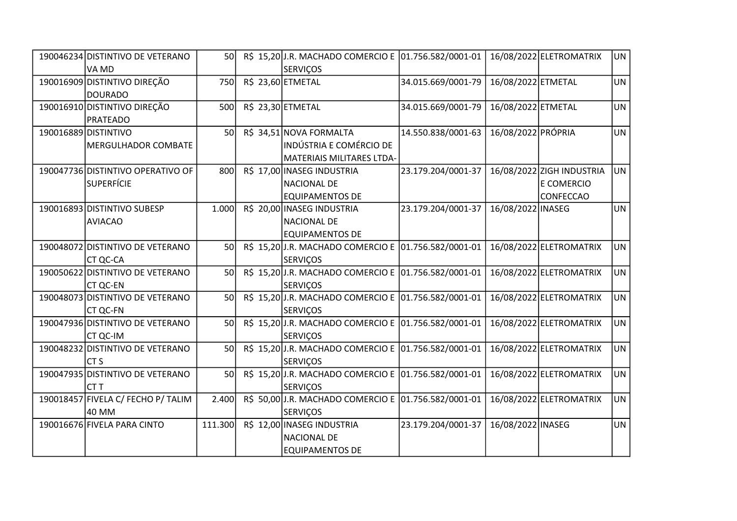| 190046234 DISTINTIVO DE VETERANO   | <b>50</b> |  | R\$ 15,20 J.R. MACHADO COMERCIO E 01.756.582/0001-01 |                    |                    | 16/08/2022 ELETROMATRIX   | UN        |
|------------------------------------|-----------|--|------------------------------------------------------|--------------------|--------------------|---------------------------|-----------|
| VA MD                              |           |  | <b>SERVIÇOS</b>                                      |                    |                    |                           |           |
| 190016909 DISTINTIVO DIREÇÃO       | 750       |  | R\$ 23,60 ETMETAL                                    | 34.015.669/0001-79 | 16/08/2022 ETMETAL |                           | <b>UN</b> |
| DOURADO                            |           |  |                                                      |                    |                    |                           |           |
| 190016910 DISTINTIVO DIREÇÃO       | 500       |  | R\$ 23,30 ETMETAL                                    | 34.015.669/0001-79 | 16/08/2022 ETMETAL |                           | <b>UN</b> |
| PRATEADO                           |           |  |                                                      |                    |                    |                           |           |
| 190016889 DISTINTIVO               | 50        |  | R\$ 34,51 NOVA FORMALTA                              | 14.550.838/0001-63 | 16/08/2022 PRÓPRIA |                           | <b>UN</b> |
| <b>MERGULHADOR COMBATE</b>         |           |  | <b>INDÚSTRIA E COMÉRCIO DE</b>                       |                    |                    |                           |           |
|                                    |           |  | MATERIAIS MILITARES LTDA-                            |                    |                    |                           |           |
| 190047736 DISTINTIVO OPERATIVO OF  | 800       |  | R\$ 17,00 INASEG INDUSTRIA                           | 23.179.204/0001-37 |                    | 16/08/2022 ZIGH INDUSTRIA | <b>UN</b> |
| <b>SUPERFÍCIE</b>                  |           |  | <b>NACIONAL DE</b>                                   |                    |                    | E COMERCIO                |           |
|                                    |           |  | <b>EQUIPAMENTOS DE</b>                               |                    |                    | <b>CONFECCAO</b>          |           |
| 190016893 DISTINTIVO SUBESP        | 1.000     |  | R\$ 20,00 INASEG INDUSTRIA                           | 23.179.204/0001-37 | 16/08/2022 INASEG  |                           | <b>UN</b> |
| <b>AVIACAO</b>                     |           |  | <b>NACIONAL DE</b>                                   |                    |                    |                           |           |
|                                    |           |  | <b>EQUIPAMENTOS DE</b>                               |                    |                    |                           |           |
| 190048072 DISTINTIVO DE VETERANO   | 50        |  | R\$ 15,20 J.R. MACHADO COMERCIO E 01.756.582/0001-01 |                    |                    | 16/08/2022 ELETROMATRIX   | <b>UN</b> |
| <b>CT QC-CA</b>                    |           |  | <b>SERVIÇOS</b>                                      |                    |                    |                           |           |
| 190050622 DISTINTIVO DE VETERANO   | 50        |  | R\$ 15,20 J.R. MACHADO COMERCIO E 01.756.582/0001-01 |                    |                    | 16/08/2022 ELETROMATRIX   | <b>UN</b> |
| <b>CT QC-EN</b>                    |           |  | <b>SERVIÇOS</b>                                      |                    |                    |                           |           |
| 190048073 DISTINTIVO DE VETERANO   | 50        |  | R\$ 15,20J.R. MACHADO COMERCIO E 01.756.582/0001-01  |                    |                    | 16/08/2022 ELETROMATRIX   | <b>UN</b> |
| CT QC-FN                           |           |  | <b>SERVIÇOS</b>                                      |                    |                    |                           |           |
| 190047936 DISTINTIVO DE VETERANO   | 50        |  | R\$ 15,20 J.R. MACHADO COMERCIO E 01.756.582/0001-01 |                    |                    | 16/08/2022 ELETROMATRIX   | <b>UN</b> |
| CT QC-IM                           |           |  | <b>SERVIÇOS</b>                                      |                    |                    |                           |           |
| 190048232 DISTINTIVO DE VETERANO   | 50        |  | R\$ 15,20 J.R. MACHADO COMERCIO E 01.756.582/0001-01 |                    |                    | 16/08/2022 ELETROMATRIX   | <b>UN</b> |
| CTS                                |           |  | <b>SERVIÇOS</b>                                      |                    |                    |                           |           |
| 190047935 DISTINTIVO DE VETERANO   | 50        |  | R\$ 15,20J.R. MACHADO COMERCIO E 01.756.582/0001-01  |                    |                    | 16/08/2022 ELETROMATRIX   | <b>UN</b> |
| ICT T                              |           |  | <b>SERVIÇOS</b>                                      |                    |                    |                           |           |
| 190018457 FIVELA C/ FECHO P/ TALIM | 2.400     |  | R\$ 50,00 J.R. MACHADO COMERCIO E 01.756.582/0001-01 |                    |                    | 16/08/2022 ELETROMATRIX   | <b>UN</b> |
| 40 MM                              |           |  | <b>SERVIÇOS</b>                                      |                    |                    |                           |           |
| 190016676 FIVELA PARA CINTO        | 111.300   |  | R\$ 12,00 INASEG INDUSTRIA                           | 23.179.204/0001-37 | 16/08/2022 INASEG  |                           | <b>UN</b> |
|                                    |           |  | <b>NACIONAL DE</b>                                   |                    |                    |                           |           |
|                                    |           |  | <b>EQUIPAMENTOS DE</b>                               |                    |                    |                           |           |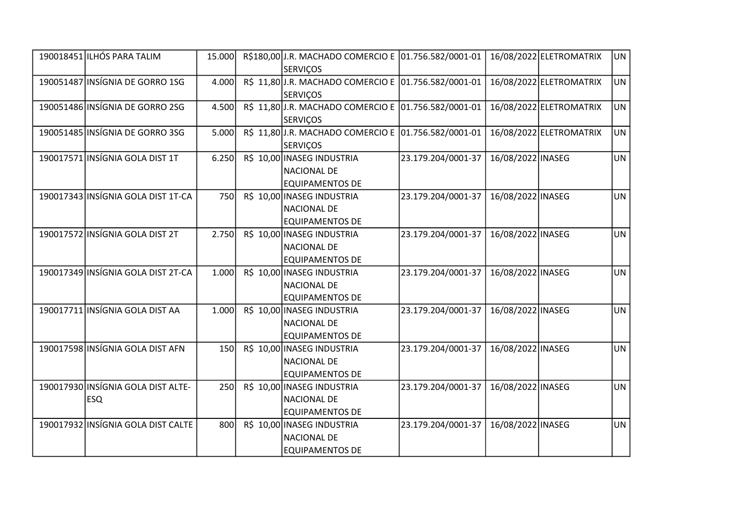| 190018451 ILHÓS PARA TALIM         | 15.000     | R\$180,00 J.R. MACHADO COMERCIO E 01.756.582/0001-01 |                    |                   | 16/08/2022 ELETROMATRIX | UN        |
|------------------------------------|------------|------------------------------------------------------|--------------------|-------------------|-------------------------|-----------|
|                                    |            | <b>SERVIÇOS</b>                                      |                    |                   |                         |           |
| 190051487 INSÍGNIA DE GORRO 1SG    | 4.000      | R\$ 11,80 J.R. MACHADO COMERCIO E 01.756.582/0001-01 |                    |                   | 16/08/2022 ELETROMATRIX | <b>UN</b> |
|                                    |            | <b>SERVIÇOS</b>                                      |                    |                   |                         |           |
| 190051486 INSÍGNIA DE GORRO 2SG    | 4.500      | R\$ 11,80J.R. MACHADO COMERCIO E 01.756.582/0001-01  |                    |                   | 16/08/2022 ELETROMATRIX | <b>UN</b> |
|                                    |            | <b>SERVIÇOS</b>                                      |                    |                   |                         |           |
| 190051485 INSÍGNIA DE GORRO 3SG    | 5.000      | R\$ 11,80 J.R. MACHADO COMERCIO E 01.756.582/0001-01 |                    |                   | 16/08/2022 ELETROMATRIX | <b>UN</b> |
|                                    |            | <b>SERVICOS</b>                                      |                    |                   |                         |           |
| 190017571 INSÍGNIA GOLA DIST 1T    | 6.250      | R\$ 10,00 INASEG INDUSTRIA                           | 23.179.204/0001-37 | 16/08/2022 INASEG |                         | <b>UN</b> |
|                                    |            | <b>NACIONAL DE</b>                                   |                    |                   |                         |           |
|                                    |            | <b>EQUIPAMENTOS DE</b>                               |                    |                   |                         |           |
| 190017343 INSÍGNIA GOLA DIST 1T-CA | <b>750</b> | R\$ 10,00 INASEG INDUSTRIA                           | 23.179.204/0001-37 | 16/08/2022 INASEG |                         | <b>UN</b> |
|                                    |            | <b>NACIONAL DE</b>                                   |                    |                   |                         |           |
|                                    |            | <b>EQUIPAMENTOS DE</b>                               |                    |                   |                         |           |
| 190017572 INSÍGNIA GOLA DIST 2T    | 2.750      | R\$ 10,00 INASEG INDUSTRIA                           | 23.179.204/0001-37 | 16/08/2022 INASEG |                         | <b>UN</b> |
|                                    |            | <b>NACIONAL DE</b>                                   |                    |                   |                         |           |
|                                    |            | <b>EQUIPAMENTOS DE</b>                               |                    |                   |                         |           |
| 190017349 INSÍGNIA GOLA DIST 2T-CA | 1.000      | R\$ 10,00 INASEG INDUSTRIA                           | 23.179.204/0001-37 | 16/08/2022 INASEG |                         | <b>UN</b> |
|                                    |            | <b>NACIONAL DE</b>                                   |                    |                   |                         |           |
|                                    |            | <b>EQUIPAMENTOS DE</b>                               |                    |                   |                         |           |
| 190017711 INSÍGNIA GOLA DIST AA    | 1.000      | R\$ 10,00 INASEG INDUSTRIA                           | 23.179.204/0001-37 | 16/08/2022 INASEG |                         | <b>UN</b> |
|                                    |            | <b>NACIONAL DE</b>                                   |                    |                   |                         |           |
|                                    |            | <b>EQUIPAMENTOS DE</b>                               |                    |                   |                         |           |
| 190017598 INSÍGNIA GOLA DIST AFN   | <b>150</b> | R\$ 10,00 INASEG INDUSTRIA                           | 23.179.204/0001-37 | 16/08/2022 INASEG |                         | <b>UN</b> |
|                                    |            | <b>NACIONAL DE</b>                                   |                    |                   |                         |           |
|                                    |            | <b>EQUIPAMENTOS DE</b>                               |                    |                   |                         |           |
| 190017930 INSÍGNIA GOLA DIST ALTE- | 250        | R\$ 10,00 INASEG INDUSTRIA                           | 23.179.204/0001-37 | 16/08/2022 INASEG |                         | <b>UN</b> |
| <b>ESQ</b>                         |            | <b>NACIONAL DE</b>                                   |                    |                   |                         |           |
|                                    |            | <b>EQUIPAMENTOS DE</b>                               |                    |                   |                         |           |
| 190017932 INSÍGNIA GOLA DIST CALTE | 800        | R\$ 10,00 INASEG INDUSTRIA                           | 23.179.204/0001-37 | 16/08/2022 INASEG |                         | <b>UN</b> |
|                                    |            | <b>NACIONAL DE</b>                                   |                    |                   |                         |           |
|                                    |            | <b>EQUIPAMENTOS DE</b>                               |                    |                   |                         |           |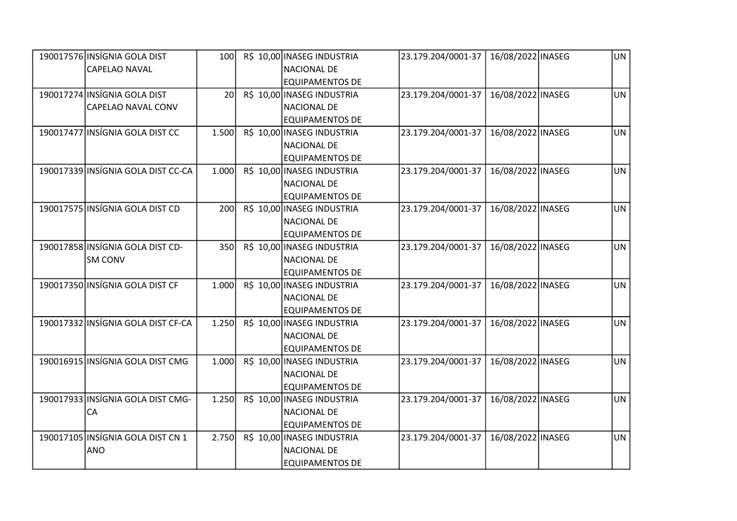| 190017576 INSÍGNIA GOLA DIST       | 100             | R\$ 10,00 INASEG INDUSTRIA | 23.179.204/0001-37 | 16/08/2022 INASEG | UN        |
|------------------------------------|-----------------|----------------------------|--------------------|-------------------|-----------|
| <b>CAPELAO NAVAL</b>               |                 | <b>NACIONAL DE</b>         |                    |                   |           |
|                                    |                 | <b>EQUIPAMENTOS DE</b>     |                    |                   |           |
| 190017274 INSÍGNIA GOLA DIST       | 20 <sup>1</sup> | R\$ 10,00 INASEG INDUSTRIA | 23.179.204/0001-37 | 16/08/2022 INASEG | <b>UN</b> |
| CAPELAO NAVAL CONV                 |                 | <b>NACIONAL DE</b>         |                    |                   |           |
|                                    |                 | <b>EQUIPAMENTOS DE</b>     |                    |                   |           |
| 190017477 INSÍGNIA GOLA DIST CC    | 1.500           | R\$ 10,00 INASEG INDUSTRIA | 23.179.204/0001-37 | 16/08/2022 INASEG | <b>UN</b> |
|                                    |                 | NACIONAL DE                |                    |                   |           |
|                                    |                 | <b>EQUIPAMENTOS DE</b>     |                    |                   |           |
| 190017339 INSÍGNIA GOLA DIST CC-CA | 1.000           | R\$ 10,00 INASEG INDUSTRIA | 23.179.204/0001-37 | 16/08/2022 INASEG | <b>UN</b> |
|                                    |                 | <b>NACIONAL DE</b>         |                    |                   |           |
|                                    |                 | <b>EQUIPAMENTOS DE</b>     |                    |                   |           |
| 190017575 INSÍGNIA GOLA DIST CD    | 200             | R\$ 10,00 INASEG INDUSTRIA | 23.179.204/0001-37 | 16/08/2022 INASEG | <b>UN</b> |
|                                    |                 | <b>NACIONAL DE</b>         |                    |                   |           |
|                                    |                 | <b>EQUIPAMENTOS DE</b>     |                    |                   |           |
| 190017858 INSÍGNIA GOLA DIST CD-   | 350             | R\$ 10,00 INASEG INDUSTRIA | 23.179.204/0001-37 | 16/08/2022 INASEG | <b>UN</b> |
| <b>SM CONV</b>                     |                 | <b>NACIONAL DE</b>         |                    |                   |           |
|                                    |                 | <b>EQUIPAMENTOS DE</b>     |                    |                   |           |
| 190017350 INSÍGNIA GOLA DIST CF    | 1.000           | R\$ 10,00 INASEG INDUSTRIA | 23.179.204/0001-37 | 16/08/2022 INASEG | <b>UN</b> |
|                                    |                 | <b>NACIONAL DE</b>         |                    |                   |           |
|                                    |                 | <b>EQUIPAMENTOS DE</b>     |                    |                   |           |
| 190017332 INSÍGNIA GOLA DIST CF-CA | 1.250           | R\$ 10,00 INASEG INDUSTRIA | 23.179.204/0001-37 | 16/08/2022 INASEG | <b>UN</b> |
|                                    |                 | <b>NACIONAL DE</b>         |                    |                   |           |
|                                    |                 | <b>EQUIPAMENTOS DE</b>     |                    |                   |           |
| 190016915 INSÍGNIA GOLA DIST CMG   | 1.000           | R\$ 10,00 INASEG INDUSTRIA | 23.179.204/0001-37 | 16/08/2022 INASEG | UN        |
|                                    |                 | <b>NACIONAL DE</b>         |                    |                   |           |
|                                    |                 | <b>EQUIPAMENTOS DE</b>     |                    |                   |           |
| 190017933 INSÍGNIA GOLA DIST CMG-  | 1.250           | R\$ 10,00 INASEG INDUSTRIA | 23.179.204/0001-37 | 16/08/2022 INASEG | <b>UN</b> |
| CA                                 |                 | <b>NACIONAL DE</b>         |                    |                   |           |
|                                    |                 | <b>EQUIPAMENTOS DE</b>     |                    |                   |           |
| 190017105 INSÍGNIA GOLA DIST CN 1  | 2.750           | R\$ 10,00 INASEG INDUSTRIA | 23.179.204/0001-37 | 16/08/2022 INASEG | <b>UN</b> |
| <b>ANO</b>                         |                 | <b>NACIONAL DE</b>         |                    |                   |           |
|                                    |                 | <b>EQUIPAMENTOS DE</b>     |                    |                   |           |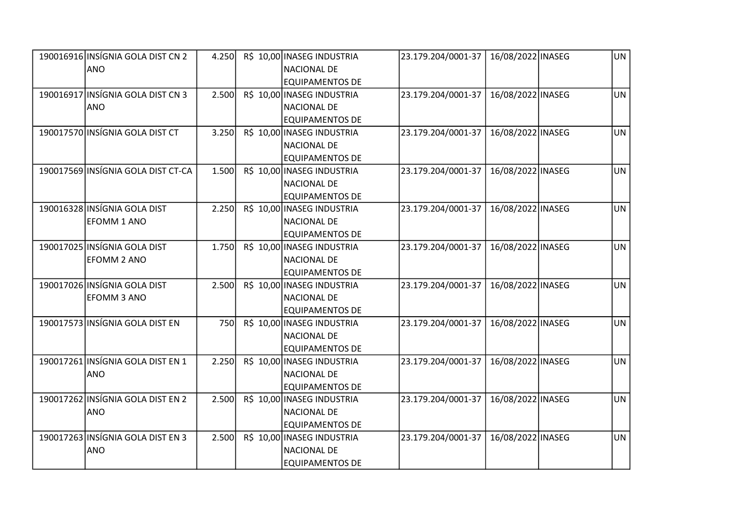| 190016916 INSÍGNIA GOLA DIST CN 2  | 4.250      | R\$ 10,00 INASEG INDUSTRIA | 23.179.204/0001-37 | 16/08/2022 INASEG | UN        |
|------------------------------------|------------|----------------------------|--------------------|-------------------|-----------|
| ANO                                |            | <b>NACIONAL DE</b>         |                    |                   |           |
|                                    |            | <b>EQUIPAMENTOS DE</b>     |                    |                   |           |
| 190016917 INSÍGNIA GOLA DIST CN 3  | 2.500      | R\$ 10,00 INASEG INDUSTRIA | 23.179.204/0001-37 | 16/08/2022 INASEG | <b>UN</b> |
| <b>ANO</b>                         |            | NACIONAL DE                |                    |                   |           |
|                                    |            | <b>EQUIPAMENTOS DE</b>     |                    |                   |           |
| 190017570 INSÍGNIA GOLA DIST CT    | 3.250      | R\$ 10,00 INASEG INDUSTRIA | 23.179.204/0001-37 | 16/08/2022 INASEG | <b>UN</b> |
|                                    |            | NACIONAL DE                |                    |                   |           |
|                                    |            | <b>EQUIPAMENTOS DE</b>     |                    |                   |           |
| 190017569 INSÍGNIA GOLA DIST CT-CA | 1.500      | R\$ 10,00 INASEG INDUSTRIA | 23.179.204/0001-37 | 16/08/2022 INASEG | <b>UN</b> |
|                                    |            | <b>NACIONAL DE</b>         |                    |                   |           |
|                                    |            | <b>EQUIPAMENTOS DE</b>     |                    |                   |           |
| 190016328 INSÍGNIA GOLA DIST       | 2.250      | R\$ 10,00 INASEG INDUSTRIA | 23.179.204/0001-37 | 16/08/2022 INASEG | <b>UN</b> |
| <b>EFOMM 1 ANO</b>                 |            | <b>NACIONAL DE</b>         |                    |                   |           |
|                                    |            | <b>EQUIPAMENTOS DE</b>     |                    |                   |           |
| 190017025 INSÍGNIA GOLA DIST       | 1.750      | R\$ 10,00 INASEG INDUSTRIA | 23.179.204/0001-37 | 16/08/2022 INASEG | <b>UN</b> |
| <b>EFOMM 2 ANO</b>                 |            | <b>NACIONAL DE</b>         |                    |                   |           |
|                                    |            | <b>EQUIPAMENTOS DE</b>     |                    |                   |           |
| 190017026 INSÍGNIA GOLA DIST       | 2.500      | R\$ 10,00 INASEG INDUSTRIA | 23.179.204/0001-37 | 16/08/2022 INASEG | <b>UN</b> |
| EFOMM 3 ANO                        |            | <b>NACIONAL DE</b>         |                    |                   |           |
|                                    |            | <b>EQUIPAMENTOS DE</b>     |                    |                   |           |
| 190017573 INSÍGNIA GOLA DIST EN    | <b>750</b> | R\$ 10,00 INASEG INDUSTRIA | 23.179.204/0001-37 | 16/08/2022 INASEG | <b>UN</b> |
|                                    |            | <b>NACIONAL DE</b>         |                    |                   |           |
|                                    |            | <b>EQUIPAMENTOS DE</b>     |                    |                   |           |
| 190017261 INSÍGNIA GOLA DIST EN 1  | 2.250      | R\$ 10,00 INASEG INDUSTRIA | 23.179.204/0001-37 | 16/08/2022 INASEG | <b>UN</b> |
| <b>ANO</b>                         |            | <b>NACIONAL DE</b>         |                    |                   |           |
|                                    |            | EQUIPAMENTOS DE            |                    |                   |           |
| 190017262 INSÍGNIA GOLA DIST EN 2  | 2.500      | R\$ 10,00 INASEG INDUSTRIA | 23.179.204/0001-37 | 16/08/2022 INASEG | <b>UN</b> |
| <b>ANO</b>                         |            | <b>NACIONAL DE</b>         |                    |                   |           |
|                                    |            | <b>EQUIPAMENTOS DE</b>     |                    |                   |           |
| 190017263 INSÍGNIA GOLA DIST EN 3  | 2.500      | R\$ 10,00 INASEG INDUSTRIA | 23.179.204/0001-37 | 16/08/2022 INASEG | <b>UN</b> |
| <b>ANO</b>                         |            | <b>NACIONAL DE</b>         |                    |                   |           |
|                                    |            | <b>EQUIPAMENTOS DE</b>     |                    |                   |           |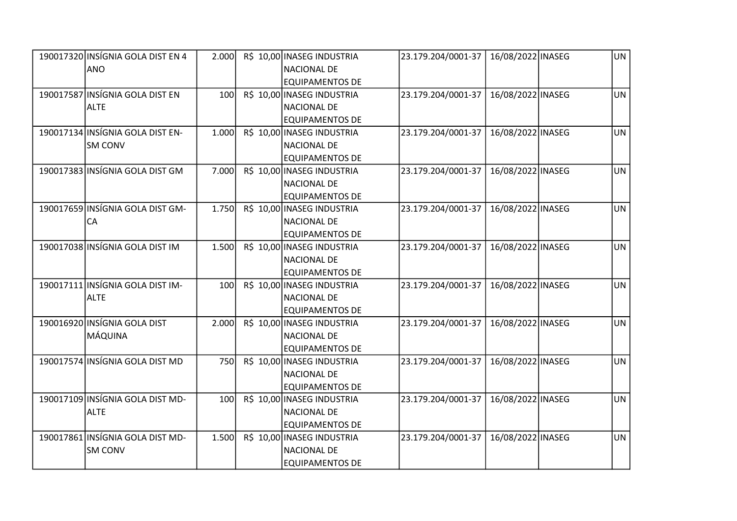| 190017320 INSÍGNIA GOLA DIST EN 4 | 2.000 | R\$ 10,00 INASEG INDUSTRIA | 23.179.204/0001-37 | 16/08/2022 INASEG | UN        |
|-----------------------------------|-------|----------------------------|--------------------|-------------------|-----------|
| ANO                               |       | <b>NACIONAL DE</b>         |                    |                   |           |
|                                   |       | <b>EQUIPAMENTOS DE</b>     |                    |                   |           |
| 190017587 INSÍGNIA GOLA DIST EN   | 100   | R\$ 10,00 INASEG INDUSTRIA | 23.179.204/0001-37 | 16/08/2022 INASEG | <b>UN</b> |
| <b>ALTE</b>                       |       | <b>NACIONAL DE</b>         |                    |                   |           |
|                                   |       | <b>EQUIPAMENTOS DE</b>     |                    |                   |           |
| 190017134 INSÍGNIA GOLA DIST EN-  | 1.000 | R\$ 10,00 INASEG INDUSTRIA | 23.179.204/0001-37 | 16/08/2022 INASEG | <b>UN</b> |
| <b>SM CONV</b>                    |       | <b>NACIONAL DE</b>         |                    |                   |           |
|                                   |       | <b>EQUIPAMENTOS DE</b>     |                    |                   |           |
| 190017383 INSÍGNIA GOLA DIST GM   | 7.000 | R\$ 10,00 INASEG INDUSTRIA | 23.179.204/0001-37 | 16/08/2022 INASEG | <b>UN</b> |
|                                   |       | <b>NACIONAL DE</b>         |                    |                   |           |
|                                   |       | <b>EQUIPAMENTOS DE</b>     |                    |                   |           |
| 190017659 INSÍGNIA GOLA DIST GM-  | 1.750 | R\$ 10,00 INASEG INDUSTRIA | 23.179.204/0001-37 | 16/08/2022 INASEG | <b>UN</b> |
| <b>CA</b>                         |       | <b>NACIONAL DE</b>         |                    |                   |           |
|                                   |       | <b>EQUIPAMENTOS DE</b>     |                    |                   |           |
| 190017038 INSÍGNIA GOLA DIST IM   | 1.500 | R\$ 10,00 INASEG INDUSTRIA | 23.179.204/0001-37 | 16/08/2022 INASEG | <b>UN</b> |
|                                   |       | <b>NACIONAL DE</b>         |                    |                   |           |
|                                   |       | <b>EQUIPAMENTOS DE</b>     |                    |                   |           |
| 190017111 INSÍGNIA GOLA DIST IM-  | 100   | R\$ 10,00 INASEG INDUSTRIA | 23.179.204/0001-37 | 16/08/2022 INASEG | <b>UN</b> |
| <b>ALTE</b>                       |       | <b>NACIONAL DE</b>         |                    |                   |           |
|                                   |       | <b>EQUIPAMENTOS DE</b>     |                    |                   |           |
| 190016920 INSÍGNIA GOLA DIST      | 2.000 | R\$ 10,00 INASEG INDUSTRIA | 23.179.204/0001-37 | 16/08/2022 INASEG | <b>UN</b> |
| MÁQUINA                           |       | <b>NACIONAL DE</b>         |                    |                   |           |
|                                   |       | <b>EQUIPAMENTOS DE</b>     |                    |                   |           |
| 190017574 INSÍGNIA GOLA DIST MD   | 750   | R\$ 10,00 INASEG INDUSTRIA | 23.179.204/0001-37 | 16/08/2022 INASEG | <b>UN</b> |
|                                   |       | <b>NACIONAL DE</b>         |                    |                   |           |
|                                   |       | <b>EQUIPAMENTOS DE</b>     |                    |                   |           |
| 190017109 INSÍGNIA GOLA DIST MD-  | 100   | R\$ 10,00 INASEG INDUSTRIA | 23.179.204/0001-37 | 16/08/2022 INASEG | <b>UN</b> |
| <b>ALTE</b>                       |       | <b>NACIONAL DE</b>         |                    |                   |           |
|                                   |       | <b>EQUIPAMENTOS DE</b>     |                    |                   |           |
| 190017861 INSÍGNIA GOLA DIST MD-  | 1.500 | R\$ 10,00 INASEG INDUSTRIA | 23.179.204/0001-37 | 16/08/2022 INASEG | <b>UN</b> |
| <b>SM CONV</b>                    |       | <b>NACIONAL DE</b>         |                    |                   |           |
|                                   |       | <b>EQUIPAMENTOS DE</b>     |                    |                   |           |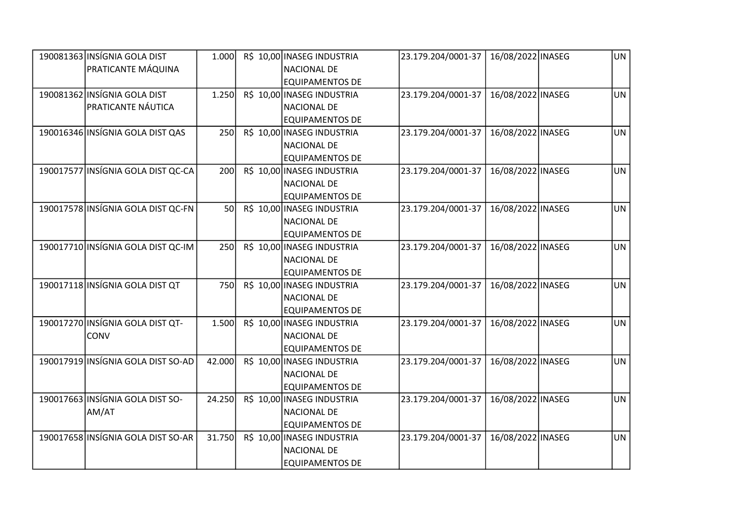| 190081363 INSÍGNIA GOLA DIST       | 1.000  | R\$ 10,00 INASEG INDUSTRIA | 23.179.204/0001-37 | 16/08/2022 INASEG | UN        |
|------------------------------------|--------|----------------------------|--------------------|-------------------|-----------|
| PRATICANTE MÁQUINA                 |        | <b>NACIONAL DE</b>         |                    |                   |           |
|                                    |        | <b>EQUIPAMENTOS DE</b>     |                    |                   |           |
| 190081362 INSÍGNIA GOLA DIST       | 1.250  | R\$ 10,00 INASEG INDUSTRIA | 23.179.204/0001-37 | 16/08/2022 INASEG | <b>UN</b> |
| <b>PRATICANTE NÁUTICA</b>          |        | <b>NACIONAL DE</b>         |                    |                   |           |
|                                    |        | <b>EQUIPAMENTOS DE</b>     |                    |                   |           |
| 190016346 INSÍGNIA GOLA DIST QAS   | 250    | R\$ 10,00 INASEG INDUSTRIA | 23.179.204/0001-37 | 16/08/2022 INASEG | <b>UN</b> |
|                                    |        | <b>NACIONAL DE</b>         |                    |                   |           |
|                                    |        | <b>EQUIPAMENTOS DE</b>     |                    |                   |           |
| 190017577 INSÍGNIA GOLA DIST QC-CA | 200    | R\$ 10,00 INASEG INDUSTRIA | 23.179.204/0001-37 | 16/08/2022 INASEG | <b>UN</b> |
|                                    |        | <b>NACIONAL DE</b>         |                    |                   |           |
|                                    |        | <b>EQUIPAMENTOS DE</b>     |                    |                   |           |
| 190017578 INSÍGNIA GOLA DIST QC-FN | 50     | R\$ 10,00 INASEG INDUSTRIA | 23.179.204/0001-37 | 16/08/2022 INASEG | <b>UN</b> |
|                                    |        | <b>NACIONAL DE</b>         |                    |                   |           |
|                                    |        | <b>EQUIPAMENTOS DE</b>     |                    |                   |           |
| 190017710 INSÍGNIA GOLA DIST QC-IM | 250    | R\$ 10,00 INASEG INDUSTRIA | 23.179.204/0001-37 | 16/08/2022 INASEG | <b>UN</b> |
|                                    |        | <b>NACIONAL DE</b>         |                    |                   |           |
|                                    |        | <b>EQUIPAMENTOS DE</b>     |                    |                   |           |
| 190017118 INSÍGNIA GOLA DIST QT    | 750    | R\$ 10,00 INASEG INDUSTRIA | 23.179.204/0001-37 | 16/08/2022 INASEG | <b>UN</b> |
|                                    |        | <b>NACIONAL DE</b>         |                    |                   |           |
|                                    |        | <b>EQUIPAMENTOS DE</b>     |                    |                   |           |
| 190017270 INSÍGNIA GOLA DIST QT-   | 1.500  | R\$ 10,00 INASEG INDUSTRIA | 23.179.204/0001-37 | 16/08/2022 INASEG | <b>UN</b> |
| CONV                               |        | NACIONAL DE                |                    |                   |           |
|                                    |        | <b>EQUIPAMENTOS DE</b>     |                    |                   |           |
| 190017919 INSÍGNIA GOLA DIST SO-AD | 42.000 | R\$ 10,00 INASEG INDUSTRIA | 23.179.204/0001-37 | 16/08/2022 INASEG | <b>UN</b> |
|                                    |        | <b>NACIONAL DE</b>         |                    |                   |           |
|                                    |        | <b>EQUIPAMENTOS DE</b>     |                    |                   |           |
| 190017663 INSÍGNIA GOLA DIST SO-   | 24.250 | R\$ 10,00 INASEG INDUSTRIA | 23.179.204/0001-37 | 16/08/2022 INASEG | <b>UN</b> |
| AM/AT                              |        | <b>NACIONAL DE</b>         |                    |                   |           |
|                                    |        | <b>EQUIPAMENTOS DE</b>     |                    |                   |           |
| 190017658 INSÍGNIA GOLA DIST SO-AR | 31.750 | R\$ 10,00 INASEG INDUSTRIA | 23.179.204/0001-37 | 16/08/2022 INASEG | <b>UN</b> |
|                                    |        | <b>NACIONAL DE</b>         |                    |                   |           |
|                                    |        | <b>EQUIPAMENTOS DE</b>     |                    |                   |           |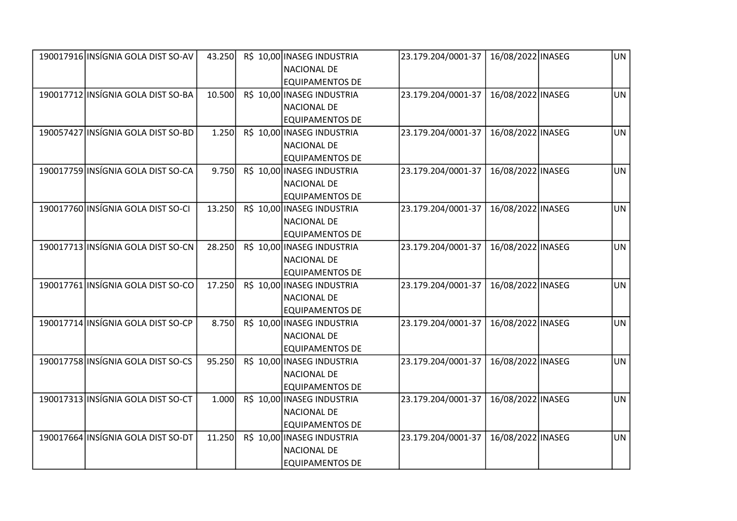| 190017916 INSÍGNIA GOLA DIST SO-AV | 43.250 | R\$ 10,00 INASEG INDUSTRIA | 23.179.204/0001-37 | 16/08/2022 INASEG | UN        |
|------------------------------------|--------|----------------------------|--------------------|-------------------|-----------|
|                                    |        | <b>NACIONAL DE</b>         |                    |                   |           |
|                                    |        | <b>EQUIPAMENTOS DE</b>     |                    |                   |           |
| 190017712 INSÍGNIA GOLA DIST SO-BA | 10.500 | R\$ 10,00 INASEG INDUSTRIA | 23.179.204/0001-37 | 16/08/2022 INASEG | <b>UN</b> |
|                                    |        | <b>NACIONAL DE</b>         |                    |                   |           |
|                                    |        | <b>EQUIPAMENTOS DE</b>     |                    |                   |           |
| 190057427 INSÍGNIA GOLA DIST SO-BD | 1.250  | R\$ 10,00 INASEG INDUSTRIA | 23.179.204/0001-37 | 16/08/2022 INASEG | <b>UN</b> |
|                                    |        | <b>NACIONAL DE</b>         |                    |                   |           |
|                                    |        | <b>EQUIPAMENTOS DE</b>     |                    |                   |           |
| 190017759 INSÍGNIA GOLA DIST SO-CA | 9.750  | R\$ 10,00 INASEG INDUSTRIA | 23.179.204/0001-37 | 16/08/2022 INASEG | <b>UN</b> |
|                                    |        | <b>NACIONAL DE</b>         |                    |                   |           |
|                                    |        | <b>EQUIPAMENTOS DE</b>     |                    |                   |           |
| 190017760 INSÍGNIA GOLA DIST SO-CI | 13.250 | R\$ 10,00 INASEG INDUSTRIA | 23.179.204/0001-37 | 16/08/2022 INASEG | <b>UN</b> |
|                                    |        | <b>NACIONAL DE</b>         |                    |                   |           |
|                                    |        | <b>EQUIPAMENTOS DE</b>     |                    |                   |           |
| 190017713 INSÍGNIA GOLA DIST SO-CN | 28.250 | R\$ 10,00 INASEG INDUSTRIA | 23.179.204/0001-37 | 16/08/2022 INASEG | UN        |
|                                    |        | <b>NACIONAL DE</b>         |                    |                   |           |
|                                    |        | <b>EQUIPAMENTOS DE</b>     |                    |                   |           |
| 190017761 INSÍGNIA GOLA DIST SO-CO | 17.250 | R\$ 10,00 INASEG INDUSTRIA | 23.179.204/0001-37 | 16/08/2022 INASEG | <b>UN</b> |
|                                    |        | <b>NACIONAL DE</b>         |                    |                   |           |
|                                    |        | <b>EQUIPAMENTOS DE</b>     |                    |                   |           |
| 190017714 INSÍGNIA GOLA DIST SO-CP | 8.750  | R\$ 10,00 INASEG INDUSTRIA | 23.179.204/0001-37 | 16/08/2022 INASEG | <b>UN</b> |
|                                    |        | <b>NACIONAL DE</b>         |                    |                   |           |
|                                    |        | <b>EQUIPAMENTOS DE</b>     |                    |                   |           |
| 190017758 INSÍGNIA GOLA DIST SO-CS | 95.250 | R\$ 10,00 INASEG INDUSTRIA | 23.179.204/0001-37 | 16/08/2022 INASEG | <b>UN</b> |
|                                    |        | <b>NACIONAL DE</b>         |                    |                   |           |
|                                    |        | <b>EQUIPAMENTOS DE</b>     |                    |                   |           |
| 190017313 INSÍGNIA GOLA DIST SO-CT | 1.000  | R\$ 10,00 INASEG INDUSTRIA | 23.179.204/0001-37 | 16/08/2022 INASEG | <b>UN</b> |
|                                    |        | <b>NACIONAL DE</b>         |                    |                   |           |
|                                    |        | <b>EQUIPAMENTOS DE</b>     |                    |                   |           |
| 190017664 INSÍGNIA GOLA DIST SO-DT | 11.250 | R\$ 10,00 INASEG INDUSTRIA | 23.179.204/0001-37 | 16/08/2022 INASEG | <b>UN</b> |
|                                    |        | <b>NACIONAL DE</b>         |                    |                   |           |
|                                    |        | <b>EQUIPAMENTOS DE</b>     |                    |                   |           |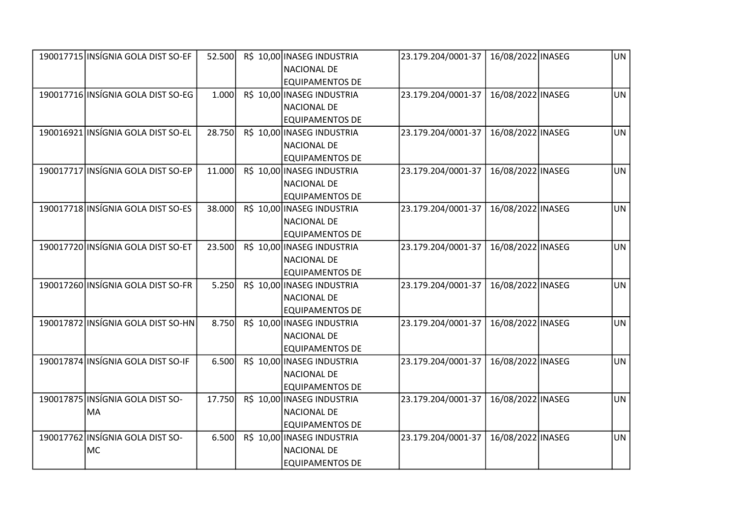| 190017715 INSÍGNIA GOLA DIST SO-EF | 52.500 | R\$ 10,00 INASEG INDUSTRIA | 23.179.204/0001-37 | 16/08/2022 INASEG | UN        |
|------------------------------------|--------|----------------------------|--------------------|-------------------|-----------|
|                                    |        | <b>NACIONAL DE</b>         |                    |                   |           |
|                                    |        | <b>EQUIPAMENTOS DE</b>     |                    |                   |           |
| 190017716 INSÍGNIA GOLA DIST SO-EG | 1.000  | R\$ 10,00 INASEG INDUSTRIA | 23.179.204/0001-37 | 16/08/2022 INASEG | <b>UN</b> |
|                                    |        | <b>NACIONAL DE</b>         |                    |                   |           |
|                                    |        | <b>EQUIPAMENTOS DE</b>     |                    |                   |           |
| 190016921 INSÍGNIA GOLA DIST SO-EL | 28.750 | R\$ 10,00 INASEG INDUSTRIA | 23.179.204/0001-37 | 16/08/2022 INASEG | <b>UN</b> |
|                                    |        | NACIONAL DE                |                    |                   |           |
|                                    |        | <b>EQUIPAMENTOS DE</b>     |                    |                   |           |
| 190017717 INSÍGNIA GOLA DIST SO-EP | 11.000 | R\$ 10,00 INASEG INDUSTRIA | 23.179.204/0001-37 | 16/08/2022 INASEG | <b>UN</b> |
|                                    |        | <b>NACIONAL DE</b>         |                    |                   |           |
|                                    |        | <b>EQUIPAMENTOS DE</b>     |                    |                   |           |
| 190017718 INSÍGNIA GOLA DIST SO-ES | 38.000 | R\$ 10,00 INASEG INDUSTRIA | 23.179.204/0001-37 | 16/08/2022 INASEG | <b>UN</b> |
|                                    |        | <b>NACIONAL DE</b>         |                    |                   |           |
|                                    |        | <b>EQUIPAMENTOS DE</b>     |                    |                   |           |
| 190017720 INSÍGNIA GOLA DIST SO-ET | 23.500 | R\$ 10,00 INASEG INDUSTRIA | 23.179.204/0001-37 | 16/08/2022 INASEG | <b>UN</b> |
|                                    |        | <b>NACIONAL DE</b>         |                    |                   |           |
|                                    |        | <b>EQUIPAMENTOS DE</b>     |                    |                   |           |
| 190017260 INSÍGNIA GOLA DIST SO-FR | 5.250  | R\$ 10,00 INASEG INDUSTRIA | 23.179.204/0001-37 | 16/08/2022 INASEG | <b>UN</b> |
|                                    |        | <b>NACIONAL DE</b>         |                    |                   |           |
|                                    |        | <b>EQUIPAMENTOS DE</b>     |                    |                   |           |
| 190017872 INSÍGNIA GOLA DIST SO-HN | 8.750  | R\$ 10,00 INASEG INDUSTRIA | 23.179.204/0001-37 | 16/08/2022 INASEG | <b>UN</b> |
|                                    |        | <b>NACIONAL DE</b>         |                    |                   |           |
|                                    |        | <b>EQUIPAMENTOS DE</b>     |                    |                   |           |
| 190017874 INSÍGNIA GOLA DIST SO-IF | 6.500  | R\$ 10,00 INASEG INDUSTRIA | 23.179.204/0001-37 | 16/08/2022 INASEG | <b>UN</b> |
|                                    |        | <b>NACIONAL DE</b>         |                    |                   |           |
|                                    |        | EQUIPAMENTOS DE            |                    |                   |           |
| 190017875 INSÍGNIA GOLA DIST SO-   | 17.750 | R\$ 10,00 INASEG INDUSTRIA | 23.179.204/0001-37 | 16/08/2022 INASEG | <b>UN</b> |
| MA                                 |        | <b>NACIONAL DE</b>         |                    |                   |           |
|                                    |        | <b>EQUIPAMENTOS DE</b>     |                    |                   |           |
| 190017762 INSÍGNIA GOLA DIST SO-   | 6.500  | R\$ 10,00 INASEG INDUSTRIA | 23.179.204/0001-37 | 16/08/2022 INASEG | <b>UN</b> |
| MC                                 |        | <b>NACIONAL DE</b>         |                    |                   |           |
|                                    |        | <b>EQUIPAMENTOS DE</b>     |                    |                   |           |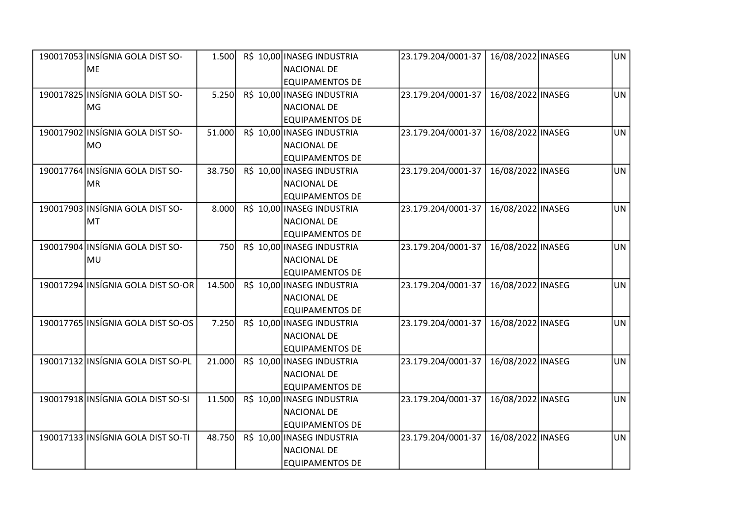| 190017053 INSÍGNIA GOLA DIST SO-   | 1.500  | R\$ 10,00 INASEG INDUSTRIA | 23.179.204/0001-37 | 16/08/2022 INASEG | UN        |
|------------------------------------|--------|----------------------------|--------------------|-------------------|-----------|
| <b>IME</b>                         |        | <b>NACIONAL DE</b>         |                    |                   |           |
|                                    |        | <b>EQUIPAMENTOS DE</b>     |                    |                   |           |
| 190017825 INSÍGNIA GOLA DIST SO-   | 5.250  | R\$ 10,00 INASEG INDUSTRIA | 23.179.204/0001-37 | 16/08/2022 INASEG | <b>UN</b> |
| MG                                 |        | <b>NACIONAL DE</b>         |                    |                   |           |
|                                    |        | <b>EQUIPAMENTOS DE</b>     |                    |                   |           |
| 190017902 INSÍGNIA GOLA DIST SO-   | 51.000 | R\$ 10,00 INASEG INDUSTRIA | 23.179.204/0001-37 | 16/08/2022 INASEG | <b>UN</b> |
| MO                                 |        | <b>NACIONAL DE</b>         |                    |                   |           |
|                                    |        | <b>EQUIPAMENTOS DE</b>     |                    |                   |           |
| 190017764 INSÍGNIA GOLA DIST SO-   | 38.750 | R\$ 10,00 INASEG INDUSTRIA | 23.179.204/0001-37 | 16/08/2022 INASEG | <b>UN</b> |
| MR                                 |        | <b>NACIONAL DE</b>         |                    |                   |           |
|                                    |        | <b>EQUIPAMENTOS DE</b>     |                    |                   |           |
| 190017903 INSÍGNIA GOLA DIST SO-   | 8.000  | R\$ 10,00 INASEG INDUSTRIA | 23.179.204/0001-37 | 16/08/2022 INASEG | <b>UN</b> |
| MT                                 |        | <b>NACIONAL DE</b>         |                    |                   |           |
|                                    |        | <b>EQUIPAMENTOS DE</b>     |                    |                   |           |
| 190017904 INSÍGNIA GOLA DIST SO-   | 750    | R\$ 10,00 INASEG INDUSTRIA | 23.179.204/0001-37 | 16/08/2022 INASEG | <b>UN</b> |
| MU                                 |        | <b>NACIONAL DE</b>         |                    |                   |           |
|                                    |        | <b>EQUIPAMENTOS DE</b>     |                    |                   |           |
| 190017294 INSÍGNIA GOLA DIST SO-OR | 14.500 | R\$ 10,00 INASEG INDUSTRIA | 23.179.204/0001-37 | 16/08/2022 INASEG | <b>UN</b> |
|                                    |        | NACIONAL DE                |                    |                   |           |
|                                    |        | <b>EQUIPAMENTOS DE</b>     |                    |                   |           |
| 190017765 INSÍGNIA GOLA DIST SO-OS | 7.250  | R\$ 10,00 INASEG INDUSTRIA | 23.179.204/0001-37 | 16/08/2022 INASEG | <b>UN</b> |
|                                    |        | <b>NACIONAL DE</b>         |                    |                   |           |
|                                    |        | <b>EQUIPAMENTOS DE</b>     |                    |                   |           |
| 190017132 INSÍGNIA GOLA DIST SO-PL | 21.000 | R\$ 10,00 INASEG INDUSTRIA | 23.179.204/0001-37 | 16/08/2022 INASEG | <b>UN</b> |
|                                    |        | <b>NACIONAL DE</b>         |                    |                   |           |
|                                    |        | <b>EQUIPAMENTOS DE</b>     |                    |                   |           |
| 190017918 INSÍGNIA GOLA DIST SO-SI | 11.500 | R\$ 10,00 INASEG INDUSTRIA | 23.179.204/0001-37 | 16/08/2022 INASEG | <b>UN</b> |
|                                    |        | <b>NACIONAL DE</b>         |                    |                   |           |
|                                    |        | <b>EQUIPAMENTOS DE</b>     |                    |                   |           |
| 190017133 INSÍGNIA GOLA DIST SO-TI | 48.750 | R\$ 10,00 INASEG INDUSTRIA | 23.179.204/0001-37 | 16/08/2022 INASEG | <b>UN</b> |
|                                    |        | <b>NACIONAL DE</b>         |                    |                   |           |
|                                    |        | <b>EQUIPAMENTOS DE</b>     |                    |                   |           |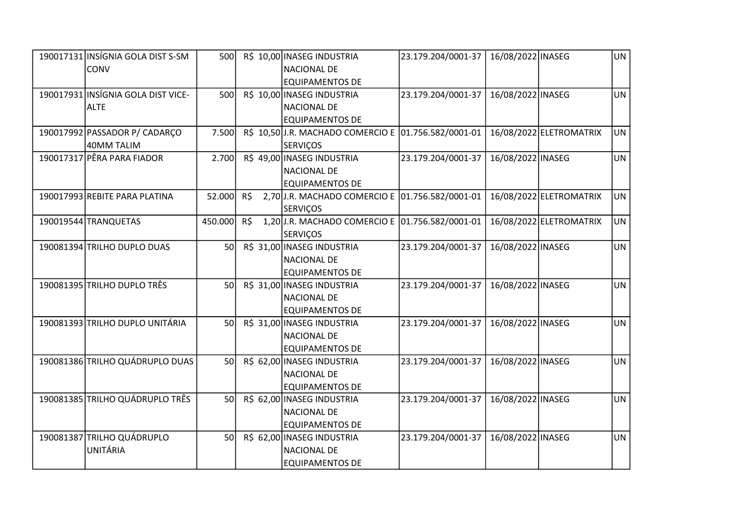| 190017131 INSÍGNIA GOLA DIST S-SM  | 500             |     | R\$ 10,00 INASEG INDUSTRIA                           | 23.179.204/0001-37 | 16/08/2022 INASEG |                         | UN        |
|------------------------------------|-----------------|-----|------------------------------------------------------|--------------------|-------------------|-------------------------|-----------|
| <b>CONV</b>                        |                 |     | <b>NACIONAL DE</b>                                   |                    |                   |                         |           |
|                                    |                 |     | <b>EQUIPAMENTOS DE</b>                               |                    |                   |                         |           |
| 190017931 INSÍGNIA GOLA DIST VICE- | 500             |     | R\$ 10,00 INASEG INDUSTRIA                           | 23.179.204/0001-37 | 16/08/2022 INASEG |                         | <b>UN</b> |
| <b>ALTE</b>                        |                 |     | <b>NACIONAL DE</b>                                   |                    |                   |                         |           |
|                                    |                 |     | <b>EQUIPAMENTOS DE</b>                               |                    |                   |                         |           |
| 190017992 PASSADOR P/ CADARÇO      | 7.500           |     | R\$ 10,50 J.R. MACHADO COMERCIO E 01.756.582/0001-01 |                    |                   | 16/08/2022 ELETROMATRIX | <b>UN</b> |
| 40MM TALIM                         |                 |     | <b>SERVIÇOS</b>                                      |                    |                   |                         |           |
| 190017317 PÊRA PARA FIADOR         | 2.700           |     | R\$ 49,00 INASEG INDUSTRIA                           | 23.179.204/0001-37 | 16/08/2022 INASEG |                         | <b>UN</b> |
|                                    |                 |     | <b>NACIONAL DE</b>                                   |                    |                   |                         |           |
|                                    |                 |     | <b>EQUIPAMENTOS DE</b>                               |                    |                   |                         |           |
| 190017993 REBITE PARA PLATINA      | 52.000          | R\$ | 2,70 J.R. MACHADO COMERCIO E 01.756.582/0001-01      |                    |                   | 16/08/2022 ELETROMATRIX | UN        |
|                                    |                 |     | <b>SERVIÇOS</b>                                      |                    |                   |                         |           |
| 190019544 TRANQUETAS               | 450.000         | R\$ | 1,20 J.R. MACHADO COMERCIO E 01.756.582/0001-01      |                    |                   | 16/08/2022 ELETROMATRIX | <b>UN</b> |
|                                    |                 |     | <b>SERVIÇOS</b>                                      |                    |                   |                         |           |
| 190081394 TRILHO DUPLO DUAS        | 50              |     | R\$ 31,00 INASEG INDUSTRIA                           | 23.179.204/0001-37 | 16/08/2022 INASEG |                         | <b>UN</b> |
|                                    |                 |     | <b>NACIONAL DE</b>                                   |                    |                   |                         |           |
|                                    |                 |     | <b>EQUIPAMENTOS DE</b>                               |                    |                   |                         |           |
| 190081395 TRILHO DUPLO TRÊS        | 50              |     | R\$ 31,00 INASEG INDUSTRIA                           | 23.179.204/0001-37 | 16/08/2022 INASEG |                         | <b>UN</b> |
|                                    |                 |     | <b>NACIONAL DE</b>                                   |                    |                   |                         |           |
|                                    |                 |     | <b>EQUIPAMENTOS DE</b>                               |                    |                   |                         |           |
| 190081393 TRILHO DUPLO UNITÁRIA    | <sub>50</sub>   |     | R\$ 31,00 INASEG INDUSTRIA                           | 23.179.204/0001-37 | 16/08/2022 INASEG |                         | UN        |
|                                    |                 |     | <b>NACIONAL DE</b>                                   |                    |                   |                         |           |
|                                    |                 |     | <b>EQUIPAMENTOS DE</b>                               |                    |                   |                         |           |
| 190081386 TRILHO QUÁDRUPLO DUAS    | 50              |     | R\$ 62,00 INASEG INDUSTRIA                           | 23.179.204/0001-37 | 16/08/2022 INASEG |                         | <b>UN</b> |
|                                    |                 |     | <b>NACIONAL DE</b>                                   |                    |                   |                         |           |
|                                    |                 |     | EQUIPAMENTOS DE                                      |                    |                   |                         |           |
| 190081385 TRILHO QUÁDRUPLO TRÊS    | 50 <sup>1</sup> |     | R\$ 62,00 INASEG INDUSTRIA                           | 23.179.204/0001-37 | 16/08/2022 INASEG |                         | <b>UN</b> |
|                                    |                 |     | <b>NACIONAL DE</b>                                   |                    |                   |                         |           |
|                                    |                 |     | <b>EQUIPAMENTOS DE</b>                               |                    |                   |                         |           |
| 190081387 TRILHO QUÁDRUPLO         | 50              |     | R\$ 62,00 INASEG INDUSTRIA                           | 23.179.204/0001-37 | 16/08/2022 INASEG |                         | <b>UN</b> |
| <b>UNITÁRIA</b>                    |                 |     | <b>NACIONAL DE</b>                                   |                    |                   |                         |           |
|                                    |                 |     | <b>EQUIPAMENTOS DE</b>                               |                    |                   |                         |           |